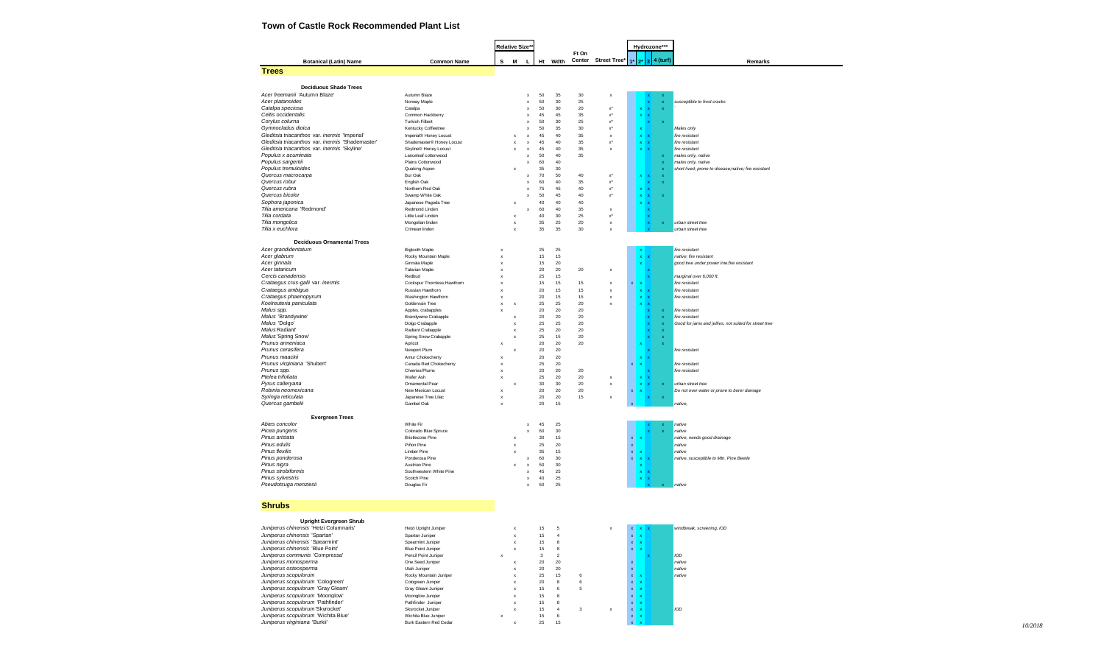# **Town of Castle Rock Recommended Plant List**

|                                           |                                                                         |                                                 |                           | Relative Size*            |             |          |                         |              |                                  |                              |                                          | Hydrozone***              |                           |                                                                            |  |  |
|-------------------------------------------|-------------------------------------------------------------------------|-------------------------------------------------|---------------------------|---------------------------|-------------|----------|-------------------------|--------------|----------------------------------|------------------------------|------------------------------------------|---------------------------|---------------------------|----------------------------------------------------------------------------|--|--|
|                                           |                                                                         |                                                 |                           |                           |             |          |                         | Ft On        |                                  |                              |                                          |                           |                           |                                                                            |  |  |
|                                           | <b>Botanical (Latin) Name</b>                                           | <b>Common Name</b>                              | s                         | M                         | г           |          | Ht Wdth                 |              | Center Street Tree* 1*           |                              |                                          |                           | $2^*$ 3 4 (turf)          | Remarks                                                                    |  |  |
| <b>Trees</b>                              |                                                                         |                                                 |                           |                           |             |          |                         |              |                                  |                              |                                          |                           |                           |                                                                            |  |  |
|                                           | <b>Deciduous Shade Trees</b>                                            |                                                 |                           |                           |             |          |                         |              |                                  |                              |                                          |                           |                           |                                                                            |  |  |
|                                           | Acer freemanii 'Autumn Blaze'                                           | Autumn Blaze                                    |                           |                           | x           | 50       | 35                      | 30           | $\boldsymbol{\mathsf{x}}$        |                              |                                          |                           |                           |                                                                            |  |  |
| Acer platanoides                          |                                                                         | Norway Maple                                    |                           |                           | $\mathsf x$ | 50       | 30                      | 25           |                                  |                              |                                          |                           | $\mathbf x$               | susceptible to frost cracks                                                |  |  |
| Catalpa speciosa                          |                                                                         | Catalpa                                         |                           |                           | $\mathsf x$ | 50       | 30                      | 20           | x*                               |                              |                                          |                           |                           |                                                                            |  |  |
| Celtis occidentalis                       |                                                                         | Common Hackberry                                |                           |                           | $\mathsf x$ | 45       | 45                      | 35           | x°                               |                              |                                          | $\boldsymbol{\mathsf{x}}$ |                           |                                                                            |  |  |
| Corylus colurna<br>Gymnocladus dioica     |                                                                         | <b>Turkish Filbert</b><br>Kentucky Coffeetree   |                           |                           | x<br>x      | 50<br>50 | 30<br>35                | 25<br>$30\,$ | $\mathsf{x}^*$<br>$\mathsf{x}^*$ |                              |                                          |                           | $\mathbf x$               | Males only                                                                 |  |  |
|                                           | Gleditsia triacanthos var. inermis 'Imperial'                           | Imperial® Honey Locust                          |                           | X                         | $\mathsf x$ | 45       | 40                      | 35           | $\mathsf x$                      |                              | $\mathbf x$                              | ×                         |                           | fire resistant                                                             |  |  |
|                                           | Gleditsia triacanthos var. inermis 'Shademaster'                        | Shademaster® Honey Locust                       |                           | $\boldsymbol{\mathsf{x}}$ | $\mathsf x$ | 45       | 40                      | 35           | $\mathbf{x}^*$                   |                              | x                                        | $\boldsymbol{\mathsf{x}}$ |                           | fire resistant                                                             |  |  |
|                                           | Gleditsia triacanthos var. inermis 'Skyline'                            | Skyline® Honey Locust                           |                           | $\boldsymbol{\mathsf{x}}$ | $\mathsf x$ | 45       | 40                      | 35           | $\boldsymbol{\mathsf{x}}$        |                              | x                                        | $\mathbf{x}$              |                           | fire resistant                                                             |  |  |
| Populus x acuminata<br>Populus sargentii  |                                                                         | Lanceleaf cottonwood                            |                           |                           | $\mathsf x$ | 50<br>60 | 40<br>40                | 35           |                                  |                              |                                          |                           | $\mathbf x$               | males only, native                                                         |  |  |
| Populus tremuloides                       |                                                                         | Plains Cottonwood<br>Quaking Aspen              |                           | x                         | x           | 35       | 30                      |              |                                  |                              |                                          |                           |                           | males only, native<br>short lived; prone to disease;native; fire resistant |  |  |
| Quercus macrocarpa                        |                                                                         | Bur Oak                                         |                           |                           | x           | 70       | 50                      | 40           | $\mathsf{x}^*$                   |                              |                                          |                           |                           |                                                                            |  |  |
| Quercus robur                             |                                                                         | English Oak                                     |                           |                           | x           | 60       | 40                      | 35           | $\mathsf{x}^*$                   |                              |                                          |                           | $\mathbf x$               |                                                                            |  |  |
| Quercus rubra                             |                                                                         | Northern Red Oak                                |                           |                           | x           | 75       | 45                      | 40           | x*                               |                              |                                          |                           |                           |                                                                            |  |  |
| Quercus bicolor<br>Sophora japonica       |                                                                         | Swamp White Oak<br>Japanese Pagoda Tree         |                           | x                         | x           | 50<br>40 | 45<br>40                | 40<br>40     | x*                               |                              |                                          |                           | $\boldsymbol{\mathsf{x}}$ |                                                                            |  |  |
|                                           | Tilia americana 'Redmond'                                               | Redmond Linden                                  |                           |                           | x           | 60       | 40                      | 35           | $\boldsymbol{\mathsf{x}}$        |                              |                                          |                           |                           |                                                                            |  |  |
| Tilia cordata                             |                                                                         | Little Leaf Linden                              |                           | x                         |             | 40       | 30                      | 25           | $\mathsf{x}^*$                   |                              |                                          |                           |                           |                                                                            |  |  |
| Tilia mongolica                           |                                                                         | Mongolian linden                                |                           | $\boldsymbol{\mathsf{x}}$ |             | 35       | 25                      | 20           | $\mathsf x$                      |                              |                                          |                           | $\mathbf x$               | urban street tree                                                          |  |  |
| Tilia x euchlora                          |                                                                         | Crimean linden                                  |                           | $\boldsymbol{\mathsf{x}}$ |             | 35       | 35                      | 30           | $\boldsymbol{\mathsf{x}}$        |                              |                                          |                           |                           | urban street tree                                                          |  |  |
|                                           | <b>Deciduous Ornamental Trees</b>                                       |                                                 |                           |                           |             |          |                         |              |                                  |                              |                                          |                           |                           |                                                                            |  |  |
| Acer grandidentatum                       |                                                                         | Bigtooth Maple                                  | x                         |                           |             | 25       | 25                      |              |                                  |                              |                                          |                           |                           | fire resistant                                                             |  |  |
| Acer glabrum                              |                                                                         | Rocky Mountain Maple                            | x                         |                           |             | 15       | 15                      |              |                                  |                              | x                                        |                           |                           | native; fire resistant                                                     |  |  |
| Acer ginnala                              |                                                                         | Ginnala Maple                                   | x                         |                           |             | 15       | 20                      |              |                                  |                              |                                          |                           |                           | good tree under power line;fire resistant                                  |  |  |
| Acer tataricum                            |                                                                         | <b>Tatarian Maple</b>                           | x                         |                           |             | 20       | 20                      | 20           | $\boldsymbol{\mathsf{x}}$        |                              |                                          |                           |                           |                                                                            |  |  |
| Cercis canadensis                         | Crataegus crus-galli var. inermis                                       | Redbud<br>Cockspur Thomless Hawthorn            | x<br>x                    |                           |             | 25<br>15 | 15<br>15                | 15           | $\boldsymbol{\mathsf{x}}$        | x                            |                                          |                           |                           | marginal over 6,000 ft.<br>fire resistant                                  |  |  |
| Crataegus ambigua                         |                                                                         | Russian Hawthorn                                | x                         |                           |             | 20       | 15                      | 15           | $\boldsymbol{\mathsf{x}}$        |                              | x                                        |                           |                           | fire resistant                                                             |  |  |
|                                           | Crataegus phaenopyrum                                                   | Washington Hawthorn                             | $\boldsymbol{\mathsf{x}}$ |                           |             | 20       | 15                      | 15           | $\boldsymbol{\mathsf{x}}$        |                              | $\mathbf x$                              | $\mathbf x$               |                           | fire resistant                                                             |  |  |
| Koelreuteria paniculata                   |                                                                         | Goldenrain Tree                                 | x                         | $\boldsymbol{\mathsf{x}}$ |             | 25       | 25                      | 20           | $\boldsymbol{\mathsf{x}}$        |                              |                                          |                           |                           |                                                                            |  |  |
| Malus spp.                                |                                                                         | Apples, crabapples                              | x                         |                           |             | 20<br>20 | 20                      | 20<br>20     |                                  |                              |                                          |                           | $\boldsymbol{\mathsf{x}}$ | fire resistant                                                             |  |  |
| Malus 'Brandywine'<br>Malus 'Dolgo'       |                                                                         | <b>Brandywine Crabapple</b><br>Dolgo Crabapple  |                           | X<br>X                    |             | 25       | 20<br>25                | 20           |                                  |                              |                                          |                           | $\boldsymbol{\mathsf{x}}$ | fire resistant<br>Good for jams and jellies, not suited for street tree    |  |  |
| Malus Radiant'                            |                                                                         | Radiant Crabapple                               |                           | x                         |             | 25       | 20                      | 20           |                                  |                              |                                          |                           |                           |                                                                            |  |  |
| Malus'Spring Snow'                        |                                                                         | Spring Snow Crabapple                           |                           | x                         |             | 25       | 15                      | 20           |                                  |                              |                                          |                           |                           |                                                                            |  |  |
| Prunus armeniaca                          |                                                                         | Apricot                                         | x                         |                           |             | 20       | 20                      | 20           |                                  |                              |                                          |                           |                           |                                                                            |  |  |
| Prunus cerasifera                         |                                                                         | Newport Plum                                    |                           | X                         |             | 20       | 20                      |              |                                  |                              |                                          |                           |                           | fire resistant                                                             |  |  |
| Prunus maackii                            | Prunus virginiana 'Shubert'                                             | Amur Chokecherry<br>Canada Red Chokecherry      | x<br>x                    |                           |             | 20<br>25 | 20<br>20                |              |                                  | x                            |                                          |                           |                           | fire resistant                                                             |  |  |
| Prunus spp.                               |                                                                         | Cherries/Plums                                  | x                         |                           |             | 20       | 20                      | 20           |                                  |                              |                                          |                           |                           | fire resistant                                                             |  |  |
| Ptelea trifoliata                         |                                                                         | Wafer Ash                                       | x                         |                           |             | 25       | 20                      | 20           | $\boldsymbol{\mathsf{x}}$        |                              |                                          |                           |                           |                                                                            |  |  |
| Pyrus calleryana                          |                                                                         | Ornamental Pear                                 |                           | X                         |             | 30       | 30                      | 20           | $\boldsymbol{\mathsf{x}}$        |                              |                                          |                           | $\mathbf x$               | urban street tree                                                          |  |  |
| Robinia neomexicana<br>Syringa reticulata |                                                                         | New Mexican Locust                              | $\mathsf x$               |                           |             | 20<br>20 | 20                      | 20<br>15     |                                  |                              |                                          |                           |                           | Do not over water or prone to borer damage                                 |  |  |
| Quercus gambelii                          |                                                                         | Japanese Tree Lilac<br>Gambel Oak               | X<br>x                    |                           |             | 20       | 20<br>15                |              | $\boldsymbol{\mathsf{x}}$        |                              |                                          |                           |                           | native,                                                                    |  |  |
|                                           |                                                                         |                                                 |                           |                           |             |          |                         |              |                                  |                              |                                          |                           |                           |                                                                            |  |  |
|                                           | <b>Evergreen Trees</b>                                                  |                                                 |                           |                           |             |          |                         |              |                                  |                              |                                          |                           |                           |                                                                            |  |  |
| Abies concolor                            |                                                                         | White Fir                                       |                           |                           | x           | 45       | 25                      |              |                                  |                              |                                          |                           |                           | native                                                                     |  |  |
| Picea pungens<br>Pinus aristata           |                                                                         | Colorado Blue Spruce<br><b>Bristlecone Pine</b> |                           | x                         | x           | 60<br>30 | 30<br>15                |              |                                  | $\mathbf{x}$                 |                                          |                           |                           | native<br>native, needs good drainage                                      |  |  |
| Pinus edulis                              |                                                                         | Piñon Pine                                      |                           | $\boldsymbol{\mathsf{x}}$ |             | 25       | 20                      |              |                                  | $\mathbf{x}$                 |                                          |                           |                           | native                                                                     |  |  |
| <b>Pinus flexilis</b>                     |                                                                         | Limber Pine                                     |                           | $\boldsymbol{\mathsf{x}}$ |             | 35       | 15                      |              |                                  | $\mathbf{x}$                 |                                          |                           |                           | native                                                                     |  |  |
| Pinus ponderosa                           |                                                                         | Ponderosa Pine                                  |                           |                           | x           | 60       | 30                      |              |                                  | $\mathbf{x}$                 |                                          |                           |                           | native, susceptible to Mtn. Pine Beetle                                    |  |  |
| Pinus nigra                               |                                                                         | <b>Austrian Pine</b>                            |                           |                           | $\mathsf x$ | 50       | 30                      |              |                                  |                              |                                          |                           |                           |                                                                            |  |  |
| Pinus strobiformis<br>Pinus sylvestris    |                                                                         | Southwestern White Pine<br>Scotch Pine          |                           |                           | x<br>x      | 45<br>40 | 25<br>25                |              |                                  |                              | x                                        |                           |                           |                                                                            |  |  |
| Pseudotsuga menziesii                     |                                                                         | Douglas Fir                                     |                           |                           | x           | 50       | 25                      |              |                                  |                              |                                          |                           |                           | hative                                                                     |  |  |
|                                           |                                                                         |                                                 |                           |                           |             |          |                         |              |                                  |                              |                                          |                           |                           |                                                                            |  |  |
|                                           |                                                                         |                                                 |                           |                           |             |          |                         |              |                                  |                              |                                          |                           |                           |                                                                            |  |  |
| <b>Shrubs</b>                             |                                                                         |                                                 |                           |                           |             |          |                         |              |                                  |                              |                                          |                           |                           |                                                                            |  |  |
|                                           |                                                                         |                                                 |                           |                           |             |          |                         |              |                                  |                              |                                          |                           |                           |                                                                            |  |  |
|                                           | <b>Upright Evergreen Shrub</b>                                          |                                                 |                           |                           |             |          |                         |              |                                  |                              |                                          |                           |                           |                                                                            |  |  |
|                                           | Juniperus chinensis "Hetzi Columnaris"<br>Juniperus chinensis 'Spartan' | Hetzi Upright Juniper<br>Spartan Juniper        |                           | x                         |             | 15<br>15 | 5<br>4                  |              |                                  |                              | $x$ $x$ $x$<br>$\boldsymbol{\mathsf{x}}$ |                           |                           | windbreak screening IOD                                                    |  |  |
|                                           | Juniperus chinensis 'Spearmint'                                         | Spearmint Juniper                               |                           | x                         |             | 15       | 8                       |              |                                  | $\mathbf{x}$<br>$\mathbf{x}$ |                                          |                           |                           |                                                                            |  |  |
|                                           | Juniperus chinensis 'Blue Point'                                        | <b>Blue Point Juniper</b>                       |                           | x                         |             | 15       | 8                       |              |                                  | $\mathbf{x}$                 |                                          |                           |                           |                                                                            |  |  |
|                                           | Juniperus communis 'Compressa'                                          | Pencil Point Juniper                            | x                         |                           |             | 3        | $\overline{\mathbf{c}}$ |              |                                  |                              |                                          |                           |                           | <b>IOD</b>                                                                 |  |  |
|                                           | Juniperus monosperma                                                    | One Seed Juniper                                |                           | x                         |             | 20       | 20                      |              |                                  | x                            |                                          |                           |                           | native                                                                     |  |  |
| Juniperus scopulorum                      | Juniperus osteosperma                                                   | Utah Juniper<br>Rocky Mountain Juniper          |                           | x                         |             | 20<br>25 | 20<br>15                | 6            |                                  | $\mathbf x$<br>$\mathbf{x}$  | $\mathbf{x}$                             |                           |                           | native<br>native                                                           |  |  |
|                                           | Juniperus scopulorum 'Cologreen'                                        | Cologreen Juniper                               |                           |                           |             | 20       | 8                       | 6            |                                  | $\mathbf{x}$                 |                                          |                           |                           |                                                                            |  |  |
|                                           | Juniperus scopulorum 'Gray Gleam'                                       | Gray Gleam Juniper                              |                           |                           |             | 15       | 6                       | 5            |                                  | $\mathbf x$                  |                                          |                           |                           |                                                                            |  |  |
|                                           | Juniperus scopulorum 'Moonglow'                                         | Moonglow Juniper                                |                           | X                         |             | 15       | 8                       |              |                                  | $\mathbf{x}$                 |                                          |                           |                           |                                                                            |  |  |
|                                           | Juniperus scopulorum 'Pathfinder'                                       | Pathfinder Juniper                              |                           | X                         |             | 15       | 8                       |              |                                  | x                            |                                          |                           |                           |                                                                            |  |  |
|                                           | Juniperus scopulorum'Skyrocket'                                         | Skyrocket Juniper                               |                           | X                         |             | 15<br>15 | $\overline{4}$<br>6     | 3            | $\boldsymbol{\mathsf{x}}$        | x                            |                                          |                           |                           | IOD                                                                        |  |  |
|                                           | Juniperus scopulorum 'Wichita Blue'<br>Juniperus virginiana 'Burkii'    | Wichita Blue Juniper<br>Burk Eastern Red Cedar  | x                         | x                         |             | 25       | 15                      |              |                                  | x                            |                                          |                           |                           |                                                                            |  |  |
|                                           |                                                                         |                                                 |                           |                           |             |          |                         |              |                                  |                              |                                          |                           |                           |                                                                            |  |  |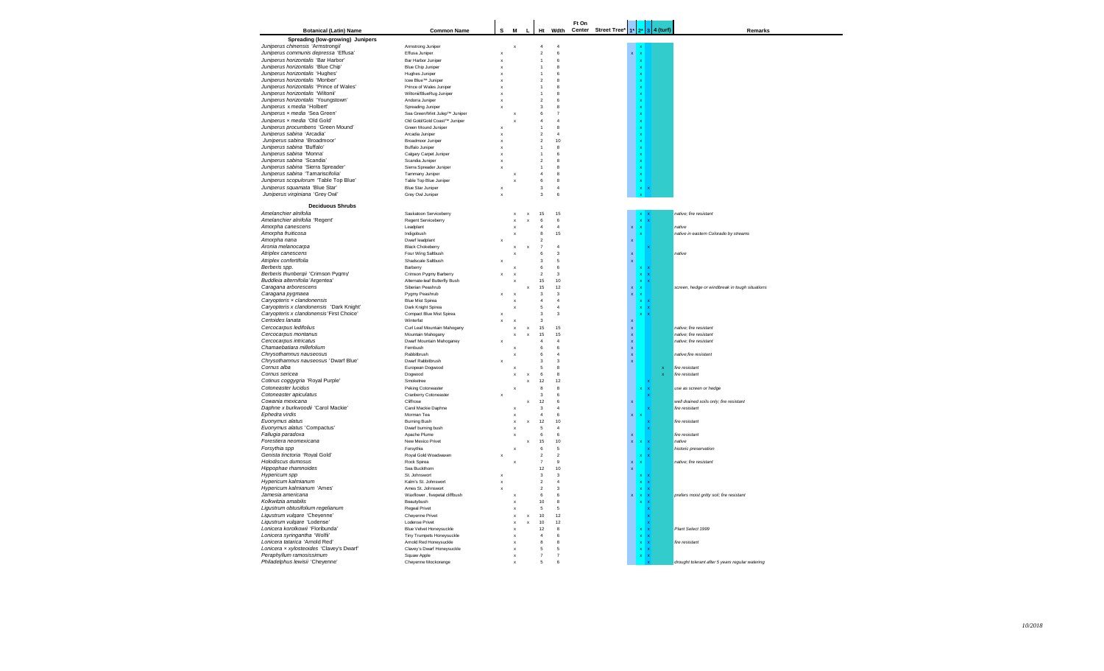| <b>Botanical (Latin) Name</b>                                                 | <b>Common Name</b>                               | s                                         | M                              | L                            | Ht                               | Wdth                    | Ft On<br>Center | Street Tree* | $1*$                              | $3 4$ (turf)              |             | Remarks                                         |
|-------------------------------------------------------------------------------|--------------------------------------------------|-------------------------------------------|--------------------------------|------------------------------|----------------------------------|-------------------------|-----------------|--------------|-----------------------------------|---------------------------|-------------|-------------------------------------------------|
| Spreading (low-growing) Junipers                                              |                                                  |                                           |                                |                              |                                  |                         |                 |              |                                   |                           |             |                                                 |
| Juniperus chinensis 'Armstrongii'                                             | Armstrong Juniper                                |                                           | $\boldsymbol{\mathsf{x}}$      |                              | $\overline{4}$                   | $\overline{4}$          |                 |              |                                   |                           |             |                                                 |
| Juniperus communis depressa 'Effusa'                                          | Effusa Juniper                                   | $\boldsymbol{\mathsf{x}}$                 |                                |                              | $\overline{2}$                   | $\,$ 6                  |                 |              |                                   |                           |             |                                                 |
| Juniperus horizontalis 'Bar Harbor'                                           | Bar Harbor Juniper                               | $\mathbf{x}$                              |                                |                              | $\overline{1}$                   | 6                       |                 |              |                                   |                           |             |                                                 |
| Juniperus horizontalis 'Blue Chip'                                            | Blue Chip Juniper                                | $\boldsymbol{\mathsf{x}}$                 |                                |                              | $\overline{1}$                   | 8                       |                 |              |                                   |                           |             |                                                 |
| Juniperus horizontalis 'Hughes'                                               | Hughes Juniper                                   | $\boldsymbol{\mathsf{x}}$                 |                                |                              | $\overline{1}$                   | 6                       |                 |              |                                   |                           |             |                                                 |
| Juniperus horizontalis 'Monber'                                               | Icee Blue <sup>TM</sup> Juniper                  | $\mathbf{x}$                              |                                |                              | $\mathfrak{p}$                   | $\mathbf{a}$            |                 |              |                                   |                           |             |                                                 |
| Juniperus horizontalis 'Prince of Wales'<br>Juniperus horizontalis 'Wiltonii' | Prince of Wales Juniper                          | $\boldsymbol{\mathsf{x}}$                 |                                |                              | $\overline{1}$<br>$\overline{1}$ | 8<br>$\mathbf{a}$       |                 |              |                                   |                           |             |                                                 |
| Juniperus horizontalis 'Youngstown'                                           | Wiltonii/BlueRug Juniper<br>Andorra Juniper      | ×                                         |                                |                              | $\mathcal{P}$                    | 6                       |                 |              |                                   |                           |             |                                                 |
| Juniperus x media 'Holbert'                                                   | Spreading Juniper                                | $\boldsymbol{\mathsf{x}}$                 |                                |                              | 3                                | 8                       |                 |              |                                   |                           |             |                                                 |
| Juniperus x media 'Sea Green'                                                 | Sea Green/Mint Julep™ Juniper                    |                                           |                                |                              | 6                                | $\overline{7}$          |                 |              |                                   |                           |             |                                                 |
| Juniperus x media 'Old Gold'                                                  | Old Gold/Gold Coast™ Juniper                     |                                           | $\boldsymbol{\mathsf{x}}$      |                              | $\overline{4}$                   | $\overline{4}$          |                 |              |                                   |                           |             |                                                 |
| Juniperus procumbens 'Green Mound'                                            | Green Mound Juniper                              | $\boldsymbol{\mathsf{x}}$                 |                                |                              | $\mathbf{1}$                     | 8                       |                 |              |                                   |                           |             |                                                 |
| Juniperus sabina 'Arcadia'                                                    | Arcadia Juniper                                  | $\boldsymbol{\mathsf{x}}$                 |                                |                              | $\mathfrak{p}$                   | $\overline{A}$          |                 |              |                                   |                           |             |                                                 |
| Juniperus sabina 'Broadmoor'                                                  | Broadmoor Juniper                                | $\boldsymbol{\mathsf{x}}$                 |                                |                              | $\overline{2}$                   | 10                      |                 |              |                                   |                           |             |                                                 |
| Juniperus sabina 'Buffalo'<br>Juniperus sabina 'Monna'                        | <b>Buffalo Juniper</b><br>Calgary Carpet Juniper | $\boldsymbol{\mathsf{x}}$<br>$\mathbf{x}$ |                                |                              | $\mathbf{1}$<br>$\overline{1}$   | 8<br>6                  |                 |              |                                   |                           |             |                                                 |
| Juniperus sabina 'Scandia'                                                    | Scandia Juniper                                  | $\mathbf{x}$                              |                                |                              | $\overline{2}$                   | 8                       |                 |              |                                   |                           |             |                                                 |
| Juniperus sabina 'Sierra Spreader'                                            | Sierra Spreader Juniper                          | $\boldsymbol{\mathsf{x}}$                 |                                |                              | 1                                | 8                       |                 |              |                                   |                           |             |                                                 |
| Juniperus sabina 'Tamariscifolia'                                             | Tammany Juniper                                  |                                           |                                |                              | $\Delta$                         | $\mathbf{a}$            |                 |              |                                   |                           |             |                                                 |
| Juniperus scopulorum 'Table Top Blue'                                         | Table Top Blue Juniper                           |                                           | $\boldsymbol{\mathsf{x}}$      |                              | $\bf 6$                          | $\bf8$                  |                 |              |                                   |                           |             |                                                 |
| Juniperus squamata 'Blue Star'                                                | <b>Blue Star Juniper</b>                         | $\boldsymbol{\mathsf{x}}$                 |                                |                              | $\mathbf 3$                      | $\overline{4}$          |                 |              |                                   |                           |             |                                                 |
| Juniperus virginiana 'Grey Owl'                                               | Grey Owl Juniper                                 | $\mathbf{x}$                              |                                |                              | $\mathbf{3}$                     | 6                       |                 |              |                                   |                           |             |                                                 |
| <b>Deciduous Shrubs</b>                                                       |                                                  |                                           |                                |                              |                                  |                         |                 |              |                                   |                           |             |                                                 |
| Amelanchier alnifolia                                                         | Saskatoon Serviceberry                           |                                           | $\boldsymbol{\mathsf{x}}$      | $\mathbf x$                  | 15                               | 15                      |                 |              |                                   |                           |             | native: fire resistant                          |
| Amelanchier alnifolia 'Regent'                                                | Regent Serviceberry                              |                                           |                                | x                            | 6                                | $\,6\,$                 |                 |              |                                   |                           |             |                                                 |
| Amorpha canescens                                                             | Leadplant                                        |                                           | x                              |                              | $\overline{4}$                   | $\overline{4}$          |                 |              |                                   |                           |             | native                                          |
| Amorpha fruiticosa                                                            | Indigobush                                       |                                           |                                |                              | 8                                | 15                      |                 |              |                                   |                           |             | native in eastern Colorado by streams           |
| Amorpha nana                                                                  | Dwarf leadplant                                  |                                           |                                |                              | $\overline{2}$                   |                         |                 |              |                                   |                           |             |                                                 |
| Aronia melanocarpa                                                            | <b>Black Chokeberry</b>                          |                                           |                                | $\mathbf{x}$                 | $\overline{7}$                   | $\overline{4}$          |                 |              |                                   |                           |             |                                                 |
| Atriplex canescens                                                            | Four Wing Saltbush                               |                                           |                                |                              | 6                                | $\overline{\mathbf{3}}$ |                 |              | $\mathbf{x}$                      |                           |             | native                                          |
| Atriplex confertifolia<br>Berberis spp.                                       | Shadscale Saltbush<br>Barberry                   |                                           |                                |                              | 3<br>6                           | 5<br>6                  |                 |              | $\bar{\mathbf{x}}$                |                           |             |                                                 |
| Berberis thunbergii 'Crimson Pygmy'                                           | Crimson Pygmy Barberry                           |                                           | $\boldsymbol{\mathsf{x}}$      |                              | $\sqrt{2}$                       | $\overline{\mathbf{3}}$ |                 |              |                                   | $\mathbf{x}$              |             |                                                 |
| Buddleia alternifolia 'Argentea'                                              | Alternate-leaf Butterfly Bush                    |                                           |                                |                              | 15                               | $10$                    |                 |              |                                   |                           |             |                                                 |
| Caragana arborescens                                                          | Siberian Peashrub                                |                                           |                                | x                            | 15                               | 12                      |                 |              | $\mathbf{x}$                      |                           |             | screen, hedge or windbreak in tough situations  |
| Caragana pygmaea                                                              | Pygmy Peashrub                                   | $\boldsymbol{\mathsf{x}}$                 | $\boldsymbol{\mathsf{x}}$      |                              | 3                                | $\mathsf 3$             |                 |              | $\mathbf{x}$                      | $\boldsymbol{\mathsf{x}}$ |             |                                                 |
| Caryopteris x clandonensis                                                    | <b>Blue Mist Spirea</b>                          |                                           | X                              |                              | $\overline{4}$                   | $\overline{4}$          |                 |              |                                   | $\boldsymbol{\mathsf{x}}$ |             |                                                 |
| Caryopteris x clandonensis 'Dark Knight'                                      | Dark Knight Spirea                               |                                           | x                              |                              | 5                                | $\overline{4}$          |                 |              |                                   | $\boldsymbol{\mathsf{x}}$ |             |                                                 |
| Caryopteris x clandonensis 'First Choice'                                     | Compact Blue Mist Spirea                         | $\boldsymbol{\mathsf{x}}$                 |                                |                              | 3                                | $\overline{\mathbf{3}}$ |                 |              |                                   |                           |             |                                                 |
| Certoides lanata                                                              | Winterfat                                        |                                           |                                |                              | 3<br>15                          | 15                      |                 |              | $\boldsymbol{\mathsf{x}}$         |                           |             | native: fire resistant                          |
| Cercocarpus ledifolius<br>Cercocarpus montanus                                | Curl Leaf Mountain Mahogany<br>Mountain Mahogany |                                           | $\boldsymbol{\mathsf{x}}$<br>× | $\mathbf{x}$<br>$\mathbf{x}$ | 15                               | 15                      |                 |              | $\mathbf x$<br>$\bar{\mathbf{x}}$ |                           |             | native: fire resistant                          |
| Cercocarpus intricatus                                                        | Dwarf Mountain Mahoganey                         |                                           |                                |                              | $\overline{4}$                   | $\overline{4}$          |                 |              | $\bar{\mathbf{x}}$                |                           |             | native; fire resistant                          |
| Chamaebatiara millefolium                                                     | Fembush                                          |                                           |                                |                              | 6                                | 6                       |                 |              | $\mathbf x$                       |                           |             |                                                 |
| Chrysothamnus nauseosus                                                       | Rabbitbrush                                      |                                           |                                |                              | 6                                | $\overline{4}$          |                 |              | $\bar{\mathbf{x}}$                |                           |             | native;fire resistant                           |
| Chrysothamnus nauseosus 'Dwarf Blue'                                          | Dwarf Rabbitbrush                                |                                           |                                |                              | $\overline{3}$                   | $\overline{\mathbf{3}}$ |                 |              | $\mathbf x$                       |                           |             |                                                 |
| Cornus alba                                                                   | European Dogwood                                 |                                           |                                |                              | 5                                | $\mathbf{a}$            |                 |              |                                   |                           | $\mathbf x$ | fire resistant                                  |
| Cornus sericea                                                                | Dogwood                                          |                                           |                                | $\mathsf x$                  | 6                                | 8                       |                 |              |                                   |                           | $\bar{x}$   | fire resistant                                  |
| Cotinus coggygria 'Royal Purple'                                              | Smoketree                                        |                                           |                                | x                            | 12                               | 12                      |                 |              |                                   |                           |             |                                                 |
| Cotoneaster lucidus<br>Cotoneaster apiculatus                                 | Peking Cotoneaster<br>Cranberry Cotoneaster      |                                           |                                |                              | $\mathbf{a}$<br>3                | $\mathbf{a}$<br>6       |                 |              |                                   |                           |             | use as screen or hedge                          |
| Cowania mexicana                                                              | Cliffrose                                        |                                           |                                | x                            | 12                               | 6                       |                 |              |                                   |                           |             | well drained soils only; fire resistant         |
| Daphne x burkwoodii 'Carol Mackie'                                            | Carol Mackie Daphne                              |                                           | $\boldsymbol{\mathsf{x}}$      |                              | $\mathbf{3}$                     | $\overline{4}$          |                 |              |                                   |                           |             | fire resistant                                  |
| Ephedra virdis                                                                | Morman Tea                                       |                                           | X                              |                              | $\overline{4}$                   | 6                       |                 |              | $\mathbf x$                       |                           |             |                                                 |
| Euonymus alatus                                                               | <b>Buming Bush</b>                               |                                           |                                | $\boldsymbol{\mathsf{x}}$    | 12                               | 10                      |                 |              |                                   |                           |             | fire resistant                                  |
| Euonymus alatus 'Compactus'                                                   | Dwarf burning bush                               |                                           | $\boldsymbol{\mathsf{x}}$      |                              | 5                                | $\overline{4}$          |                 |              |                                   |                           |             |                                                 |
| Fallugia paradoxa                                                             | Apache Plume                                     |                                           | X                              |                              | 6                                | 6                       |                 |              | $\mathbf x$                       |                           |             | fire resistant                                  |
| Forestiera neomexicana                                                        | New Mexico Privet                                |                                           |                                | x                            | 15                               | $10$<br>5               |                 |              | x                                 |                           |             | native                                          |
| Forsythia spp<br>Genista tinctoria 'Royal Gold'                               | Forsythia<br>Royal Gold Woadwaxen                | $\boldsymbol{\mathsf{x}}$                 | $\boldsymbol{\mathsf{x}}$      |                              | $6 \,$<br>$\overline{2}$         | $\overline{2}$          |                 |              |                                   |                           |             | historic preservation                           |
| Holodiscus dumosus                                                            | Rock Spirea                                      |                                           |                                |                              | $\overline{7}$                   | $\overline{9}$          |                 |              | $\bar{\mathbf{x}}$                |                           |             | native; fire resistant                          |
| Hippophae rhamnoides                                                          | Sea Buckthorn                                    |                                           |                                |                              | 12                               | 10                      |                 |              | $\mathbf x$                       |                           |             |                                                 |
| Hypericum spp                                                                 | St. Johnswort                                    | $\boldsymbol{\mathsf{x}}$                 |                                |                              | 3                                | 3                       |                 |              |                                   |                           |             |                                                 |
| Hypericum kalmianum                                                           | Kalm's St. Johnswort                             |                                           |                                |                              | $\overline{2}$                   | $\boldsymbol{\Lambda}$  |                 |              |                                   |                           |             |                                                 |
| Hypericum kalmianum 'Ames'                                                    | Ames St. Johnswort                               |                                           |                                |                              | $\mathfrak{p}$                   | $\mathbf{3}$            |                 |              |                                   |                           |             |                                                 |
| Jamesia americana                                                             | Waxflower, fivepetal cliffbush                   |                                           | X                              |                              | $\,6\,$                          | 6                       |                 |              | $\mathbf{x}$                      | $\mathbf{x}$              |             | prefers moist gritty soil; fire resistant       |
| Kolkwitzia amabilis                                                           | Beautybush                                       |                                           | X                              |                              | 10                               | 8                       |                 |              |                                   |                           |             |                                                 |
| Ligustrum obtusifolium regelianum                                             | Regeal Privet                                    |                                           | $\boldsymbol{\mathsf{x}}$      |                              | 5<br>10                          | 5<br>12                 |                 |              |                                   |                           |             |                                                 |
| Ligustrum vulgare 'Cheyenne'<br>Ligustrum vulgare 'Lodense'                   | Cheyenne Privet<br>Lodense Privet                |                                           | $\boldsymbol{\mathsf{x}}$<br>X | $\mathsf x$<br>x             | 10                               | 12                      |                 |              |                                   |                           |             |                                                 |
| Lonicera korolkowii 'Floribunda'                                              | Blue Velvet Honeysuckle                          |                                           | $\mathbf{x}$                   |                              | 12                               | $\mathbf{a}$            |                 |              |                                   |                           |             | Plant Select 1999                               |
| Lonicera syringantha 'Wolfii'                                                 | Tiny Trumpets Honeysuckle                        |                                           | $\boldsymbol{\mathsf{x}}$      |                              | $\overline{4}$                   | 6                       |                 |              |                                   |                           |             |                                                 |
| Lonicera tatarica 'Arnold Red'                                                | Arnold Red Honeysuckle                           |                                           |                                |                              | 8                                | 8                       |                 |              |                                   |                           |             | fire resistant                                  |
| Lonicera x xylosteoides 'Clavey's Dwarf'                                      | Clavey's Dwarf Honeysuckle                       |                                           | $\boldsymbol{\mathsf{x}}$      |                              | 5                                | 5                       |                 |              |                                   |                           |             |                                                 |
| Peraphyllum ramosissimum                                                      | Squaw Apple                                      |                                           |                                |                              | $\overline{7}$                   | $\overline{7}$          |                 |              |                                   |                           |             |                                                 |
| Philadelphus lewisii 'Cheyenne'                                               | Cheyenne Mockorange                              |                                           | x                              |                              | 5                                | 6                       |                 |              |                                   |                           |             | drought tolerant after 5 years regular watering |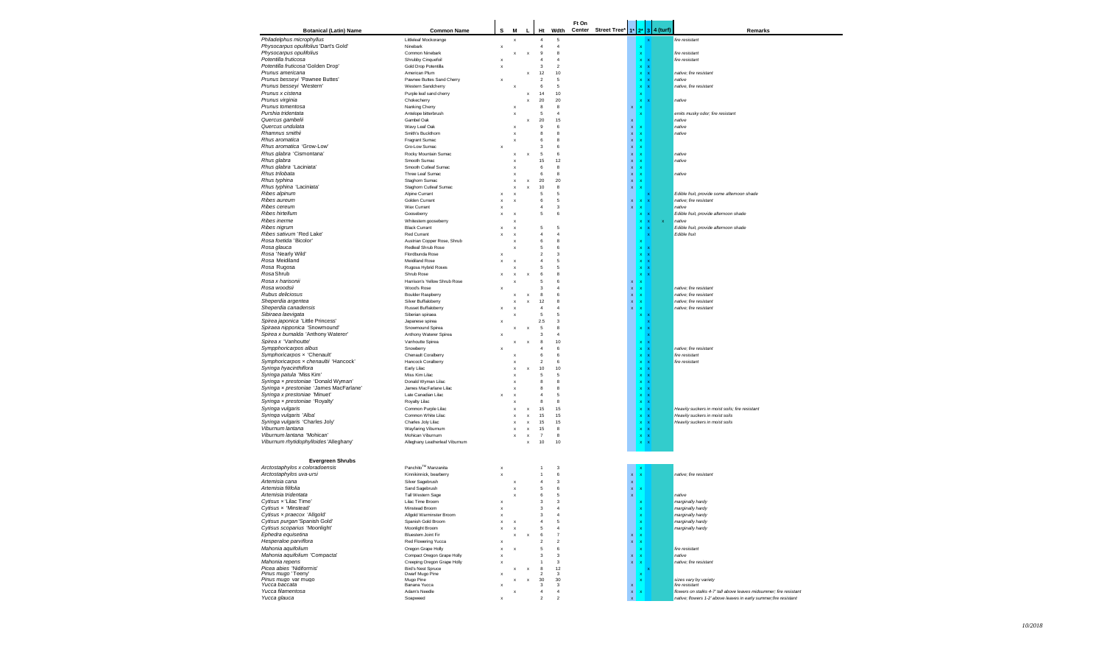|                                                                          |                                                   |                           |                                |                           |                               |                         | Ft On |                     |                                   |                            |              |                  |                                                                      |
|--------------------------------------------------------------------------|---------------------------------------------------|---------------------------|--------------------------------|---------------------------|-------------------------------|-------------------------|-------|---------------------|-----------------------------------|----------------------------|--------------|------------------|----------------------------------------------------------------------|
| <b>Botanical (Latin) Name</b>                                            | <b>Common Name</b>                                | s                         | M                              | L                         | Ht                            | Wdth                    |       | Center Street Tree* | $1^*$                             |                            |              | $2^*$ 3 4 (turf) | Remarks                                                              |
| Philadelphus microphyllus<br>Physocarpus opulifolius 'Dart's Gold'       | Littleleaf Mockorange                             |                           | x                              |                           | $\overline{4}$                | 5                       |       |                     |                                   |                            |              |                  | fire resistant                                                       |
| Physocarpus opulifolius                                                  | Ninebark<br>Common Ninebark                       | $\boldsymbol{\mathsf{x}}$ | x                              | X                         | $\overline{4}$<br>$\mathbf 9$ | $\overline{4}$<br>8     |       |                     |                                   |                            |              |                  | fire resistant                                                       |
| Potentilla fruticosa                                                     | Shrubby Cinquefoil                                | $\boldsymbol{\mathsf{x}}$ |                                |                           | $\overline{4}$                | 4                       |       |                     |                                   | x                          |              |                  | fire resistant                                                       |
| Potentilla fruticosa 'Golden Drop'                                       | Gold Drop Potentilla                              | $\boldsymbol{\mathsf{x}}$ |                                |                           | 3                             | $\overline{2}$          |       |                     |                                   | x                          |              |                  |                                                                      |
| Prunus americana                                                         | American Plum                                     |                           |                                | x                         | 12                            | 10                      |       |                     |                                   | $\mathbf x$                | $\mathbf{x}$ |                  | native: fire resistant                                               |
| Prunus besseyi 'Pawnee Buttes'<br>Prunus besseyi 'Western'               | Pawnee Buttes Sand Cherry<br>Western Sandcherry   |                           | x                              |                           | $\overline{c}$<br>6           | 5<br>5                  |       |                     |                                   | $\mathbf x$<br>$\mathbf x$ | $\mathbf{x}$ |                  | native<br>native, fire resistant                                     |
| Prunus x cistena                                                         | Purple leaf sand cherry                           |                           |                                | x                         | 14                            | 10                      |       |                     |                                   | $\boldsymbol{\mathsf{x}}$  |              |                  |                                                                      |
| Prunus virginia                                                          | Chokecherry                                       |                           |                                | $\boldsymbol{\mathsf{x}}$ | $20\,$                        | 20                      |       |                     |                                   | $\mathbf{x}$               | $\mathbf{x}$ |                  | native                                                               |
| Prunus tomentosa                                                         | Nanking Cherry                                    |                           | x                              |                           | 8                             | 8                       |       |                     | ×                                 | $\mathbf{x}$               |              |                  |                                                                      |
| Purshia tridentata                                                       | Antelope bitterbrush                              |                           | $\boldsymbol{\mathsf{x}}$      |                           | 5                             | $\overline{4}$          |       |                     |                                   |                            |              |                  | emits musky odor; fire resistant                                     |
| Quercus gambelii<br>Quercus undulata                                     | Gambel Oak<br>Wavy Leaf Oak                       |                           | x                              | x                         | 20<br>$\overline{9}$          | 15<br>6                 |       |                     | x<br>$\mathbf{x}$                 |                            |              |                  | native<br>native                                                     |
| Rhamnus smithii                                                          | Smith's Buckthorn                                 |                           | x                              |                           | 8                             | 8                       |       |                     | $\bar{\mathbf{x}}$                |                            |              |                  | native                                                               |
| Rhus aromatica                                                           | Fragrant Sumac                                    |                           | $\boldsymbol{\mathsf{x}}$      |                           | 6                             | 8                       |       |                     | $\mathbf{x}$                      |                            |              |                  |                                                                      |
| Rhus aromatica 'Grow-Low'                                                | Gro-Low Sumac                                     |                           |                                |                           | $\mathbf{3}$                  | 6                       |       |                     | x                                 |                            |              |                  |                                                                      |
| Rhus glabra 'Cismontana'<br>Rhus glabra                                  | Rocky Mountain Sumac<br>Smooth Sumac              |                           | $\boldsymbol{\mathsf{x}}$      | $\boldsymbol{\mathsf{x}}$ | 5<br>15                       | 6<br>12                 |       |                     | x<br>x                            |                            |              |                  | native<br>native                                                     |
| Rhus glabra 'Laciniata'                                                  | Smooth Cutleaf Sumac                              |                           | x                              |                           | 6                             | 8                       |       |                     | x                                 |                            |              |                  |                                                                      |
| Rhus trilobata                                                           | Three Leaf Sumac                                  |                           |                                |                           | 6                             | 8                       |       |                     | x                                 |                            |              |                  | native                                                               |
| Rhus typhina                                                             | Staghorn Sumac                                    |                           |                                | x                         | 20                            | 20                      |       |                     | x                                 |                            |              |                  |                                                                      |
| Rhus typhina 'Laciniata'                                                 | Staghorn Cutleaf Sumac                            |                           | x                              | X                         | 10                            | 8                       |       |                     | $\mathbf{x}$                      |                            |              |                  |                                                                      |
| Ribes alpinum<br>Ribes aureum                                            | Alpine Currant<br>Golden Currant                  | $\boldsymbol{\mathsf{x}}$ | x<br>X                         |                           | 5<br>6                        | 5<br>5                  |       |                     | x                                 |                            |              |                  | Edible fruit, provide some afternoon shade<br>native; fire resistant |
| Ribes cereum                                                             | Wax Currant                                       | $\boldsymbol{\mathsf{x}}$ |                                |                           | $\overline{4}$                | 3                       |       |                     | $\mathbf{x}$                      |                            |              |                  | native                                                               |
| Ribes hirtellum                                                          | Gooseberry                                        | $\boldsymbol{\mathsf{x}}$ | x                              |                           | 5                             | 6                       |       |                     |                                   | x                          |              |                  | Edible fruit, provide afternoon shade                                |
| Ribes inerme                                                             | Whitestem gooseberry                              |                           | x                              |                           |                               |                         |       |                     |                                   | x                          |              | x                | native                                                               |
| Ribes nigrum<br>Ribes sativum 'Red Lake'                                 | <b>Black Currant</b>                              |                           | x                              |                           | 5                             | 5                       |       |                     |                                   |                            |              |                  | Edible fruit, provide afternoon shade                                |
| Rosa foetida 'Bicolor'                                                   | <b>Red Currant</b><br>Austrian Copper Rose, Shrub |                           | x<br>x                         |                           | 4<br>6                        | 4<br>8                  |       |                     |                                   |                            |              |                  | Edible fruit                                                         |
| Rosa glauca                                                              | Redleaf Shrub Rose                                |                           | X                              |                           | 5                             | 6                       |       |                     |                                   | $\mathbf x$                |              |                  |                                                                      |
| Rosa 'Nearly Wild'                                                       | Flordbunda Rose                                   |                           |                                |                           | $\overline{\mathbf{2}}$       | 3                       |       |                     |                                   | $\mathbf x$                |              |                  |                                                                      |
| Rosa Meidiland                                                           | <b>Meidiland Rose</b>                             |                           | X                              |                           | $\overline{4}$                | 5                       |       |                     |                                   | $\mathbf x$                |              |                  |                                                                      |
| Rosa Rugosa                                                              | Rugosa Hybrid Roses                               |                           | $\boldsymbol{\mathsf{x}}$      |                           | 5                             | 5                       |       |                     |                                   | $x \, x$                   |              |                  |                                                                      |
| Rosa Shrub<br>Rosa x harisonii                                           | Shrub Rose<br>Harrison's Yellow Shrub Rose        |                           | x<br>x                         | X                         | 6<br>5                        | 8<br>6                  |       |                     | $\mathbf{x}$                      | $x \times$                 |              |                  |                                                                      |
| Rosa woodsii                                                             | Wood's Rose                                       |                           |                                |                           | 3                             | $\overline{4}$          |       |                     | $\mathbf{x}$                      | $\boldsymbol{\mathsf{x}}$  |              |                  | native; fire resistant                                               |
| Rubus deliciosus                                                         | <b>Boulder Raspberry</b>                          |                           | x                              | X                         | 8                             | 6                       |       |                     | $\mathbf{x}$                      |                            |              |                  | native; fire resistant                                               |
| Sheperdia argentea                                                       | Silver Buffaloberry                               |                           | $\boldsymbol{\mathsf{x}}$      | X                         | 12                            | 8                       |       |                     | $\mathbf{x}$                      | $\boldsymbol{\mathsf{x}}$  |              |                  | native; fire resistant                                               |
| Sheperdia canadensis                                                     | Russet Buffaloberry                               |                           | $\boldsymbol{\mathsf{x}}$      |                           | $\overline{4}$                | $\overline{4}$          |       |                     | $\mathbf{x}$                      |                            |              |                  | native: fire resistant                                               |
| Sibiraea laevigata<br>Spirea japonica 'Little Princess'                  | Siberian spiraea<br>Japanese spirea               |                           |                                |                           | 5<br>2.5                      | 5<br>$\mathbf 3$        |       |                     |                                   |                            |              |                  |                                                                      |
| Spiraea nipponica 'Snowmound'                                            | Snowmound Spirea                                  |                           |                                |                           | 5                             | $\mathbf{a}$            |       |                     |                                   |                            |              |                  |                                                                      |
| Spirea x bumalda 'Anthony Waterer'                                       | Anthony Waterer Spirea                            |                           |                                |                           | 3                             | $\overline{4}$          |       |                     |                                   |                            |              |                  |                                                                      |
| Spirea x 'Vanhoutte'                                                     | Vanhoutte Spirea                                  |                           |                                |                           | 8                             | 10                      |       |                     |                                   |                            |              |                  |                                                                      |
| Sympphoricarpos albus                                                    | Snowberry                                         |                           |                                |                           | $\overline{4}$<br>6           | 6                       |       |                     |                                   | $\mathbf x$                |              |                  | native; fire resistant                                               |
| Symphoricarpos x 'Chenault'<br>Symphoricarpos x chenaultii 'Hancock'     | Chenault Coralberry<br>Hancock Coralberry         |                           | x                              |                           | $\overline{2}$                | 6<br>6                  |       |                     |                                   | $x \times$<br>$\mathbf x$  |              |                  | fire resistant<br>fire resistant                                     |
| Syringa hyacinthiflora                                                   | Early Lilac                                       |                           | x                              | X                         | 10                            | 10                      |       |                     |                                   | $X \rightarrow$            |              |                  |                                                                      |
| Syringa patula 'Miss Kim'                                                | Miss Kim Lilac                                    |                           | x                              |                           | 5                             | 5                       |       |                     |                                   | $\mathbf{x}$               |              |                  |                                                                      |
| Syringa x prestoniae 'Donald Wyman'                                      | Donald Wyman Lilac                                |                           | x                              |                           | 8                             | 8                       |       |                     |                                   | x                          |              |                  |                                                                      |
| Syringa x prestoniae 'James MacFarlane'<br>Syringa x prestoniae 'Minuet' | James MacFarlane Lilac<br>Late Canadian Lilac     |                           | x                              |                           | 8<br>$\overline{4}$           | 8<br>5                  |       |                     |                                   | $\mathbf x$                |              |                  |                                                                      |
| Syringa x prestoniae 'Royalty'                                           | Royalty Lilac                                     | X                         | x<br>x                         |                           | 8                             | 8                       |       |                     |                                   | $\mathbf x$<br>$\mathbf x$ |              |                  |                                                                      |
| Syringa vulgaris                                                         | Common Purple Lilac                               |                           | x                              | x                         | 15                            | 15                      |       |                     |                                   | $x \, x$                   |              |                  | Heavily suckers in moist soils; fire resistant                       |
| Syringa vulgaris 'Alba'                                                  | Common White Lilac                                |                           | X                              | x                         | 15                            | 15                      |       |                     |                                   | $x - x$                    |              |                  | Heavily suckers in moist soils                                       |
| Syringa vulgaris 'Charles Joly'                                          | Charles Joly Lilac                                |                           |                                | x                         | 15                            | 15                      |       |                     |                                   | $\mathbf x$                |              |                  | Heavily suckers in moist soils                                       |
| Viburnum lantana<br>Viburnum lantana 'Mohican'                           | Wayfaring Viburnum<br>Mohican Viburnum            |                           | x<br>$\boldsymbol{\mathsf{x}}$ | x<br>X                    | 15<br>$\overline{7}$          | 8<br>$^{\rm 8}$         |       |                     |                                   | $\mathbf x$                | <b>x</b>     |                  |                                                                      |
| Viburnum rhytidophylloides 'Alleghany'                                   | Alleghany Leatherleaf Viburnum                    |                           |                                | X                         | 10                            | 10                      |       |                     |                                   | $\mathbf x$                | $\mathbf{x}$ |                  |                                                                      |
|                                                                          |                                                   |                           |                                |                           |                               |                         |       |                     |                                   |                            |              |                  |                                                                      |
|                                                                          |                                                   |                           |                                |                           |                               |                         |       |                     |                                   |                            |              |                  |                                                                      |
| <b>Evergreen Shrubs</b><br>Arctostaphylos x coloradoensis                | Panchito™ Manzanita                               | $\boldsymbol{\mathsf{x}}$ |                                |                           |                               | 3                       |       |                     |                                   |                            |              |                  |                                                                      |
| Arctostaphylos uva-ursi                                                  | Kinnikinnick, bearberry                           | $\boldsymbol{\mathsf{x}}$ |                                |                           |                               | 6                       |       |                     | x                                 |                            |              |                  | native; fire resistant                                               |
| Artemisia cana                                                           | Silver Sagebrush                                  |                           | х                              |                           | 4                             | 3                       |       |                     | x                                 |                            |              |                  |                                                                      |
| Artemisia filifolia                                                      | Sand Sagebrush                                    |                           | $\boldsymbol{\mathsf{x}}$      |                           | 5                             | 6                       |       |                     | $\mathbf{x}$                      |                            |              |                  |                                                                      |
| Artemisia tridentata                                                     | <b>Tall Western Sage</b>                          |                           | $\boldsymbol{\mathsf{x}}$      |                           | 6                             | 5                       |       |                     | $\mathbf{x}$                      |                            |              |                  | native                                                               |
| Cytisus x'Lilac Time'                                                    | Lilac Time Broom                                  | $\boldsymbol{\mathsf{x}}$ |                                |                           | 3                             | 3                       |       |                     |                                   |                            |              |                  | marginally hardy                                                     |
| <i>Cytisus <math>x</math></i> Minstead<br>Cytisus x praecox 'Allgold'    | Minstead Broom<br>Allgold Warminster Broom        | $\boldsymbol{\mathsf{x}}$ |                                |                           | з<br>$\overline{3}$           | $\overline{4}$          |       |                     |                                   | $\boldsymbol{\mathsf{x}}$  |              |                  | marginally hardy<br>marginally hardy                                 |
| Cytisus purgan 'Spanish Gold'                                            | Spanish Gold Broom                                | $\boldsymbol{\mathsf{x}}$ | $\boldsymbol{\mathsf{x}}$      |                           | $\overline{4}$                | 5                       |       |                     |                                   | $\mathbf x$                |              |                  | marginally hardy                                                     |
| Cytisus scoparius 'Moonlight'                                            | Moonlight Broom                                   | $\boldsymbol{\mathsf{x}}$ | $\boldsymbol{\mathsf{x}}$      |                           | 5                             | $\overline{4}$          |       |                     |                                   | $\mathbf{x}$               |              |                  | marginally hardy                                                     |
| Ephedra equisetina                                                       | Bluestem Joint Fir                                |                           | x                              | $\mathsf x$               | 6                             | $\overline{7}$          |       |                     | ×                                 | $\mathbf{x}$               |              |                  |                                                                      |
| Hesperaloe parviflora<br>Mahonia aquifolium                              | Red Flowering Yucca                               | $\boldsymbol{\mathsf{x}}$ |                                |                           | $\overline{2}$                | $\overline{2}$          |       |                     | $\mathbf{x}$<br><b>CONTRACTOR</b> | $\mathbf{x}$               |              |                  |                                                                      |
| Mahonia aquifolium 'Compacta'                                            | Oregon Grape Holly<br>Compact Oregon Grape Holly  | $\boldsymbol{\mathsf{x}}$ | X                              |                           | 5<br>3                        | 6<br>3                  |       |                     | x.                                | $\mathbf{x}$               |              |                  | fire resistant<br>native                                             |
| Mahonia repens                                                           | Creeping Oregon Grape Holly                       |                           |                                |                           | 1                             | 3                       |       |                     | x                                 |                            |              |                  | native; fire resistant                                               |
| Picea abies 'Nidiformis'                                                 | <b>Bird's Nest Spruce</b>                         |                           | x                              |                           | 8                             | 12                      |       |                     |                                   |                            |              |                  |                                                                      |
| Pinus mugo 'Teeny'<br>Pinus mugo var mugo                                | Dwarf Mugo Pine<br>Mugo Pine                      | $\boldsymbol{\mathsf{x}}$ |                                |                           | $\overline{2}$<br>30          | 3<br>30                 |       |                     |                                   |                            |              |                  | sizes vary by variety                                                |
| Yucca baccata                                                            | Banana Yucca                                      |                           |                                |                           | 3                             | 3                       |       |                     | x                                 |                            |              |                  | fire resistant                                                       |
| Yucca filamentosa                                                        | Adam's Needle                                     |                           |                                |                           | $\overline{4}$                | $\overline{4}$          |       |                     | x                                 |                            |              |                  | flowers on stalks 4-7' tall above leaves midsummer; fire resistant   |
| Yucca glauca                                                             | Soapweed                                          | $\boldsymbol{\mathsf{x}}$ |                                |                           | $\overline{2}$                | $\overline{\mathbf{c}}$ |       |                     | x                                 |                            |              |                  | native; flowers 1-2' above leaves in early summer; fire resistant    |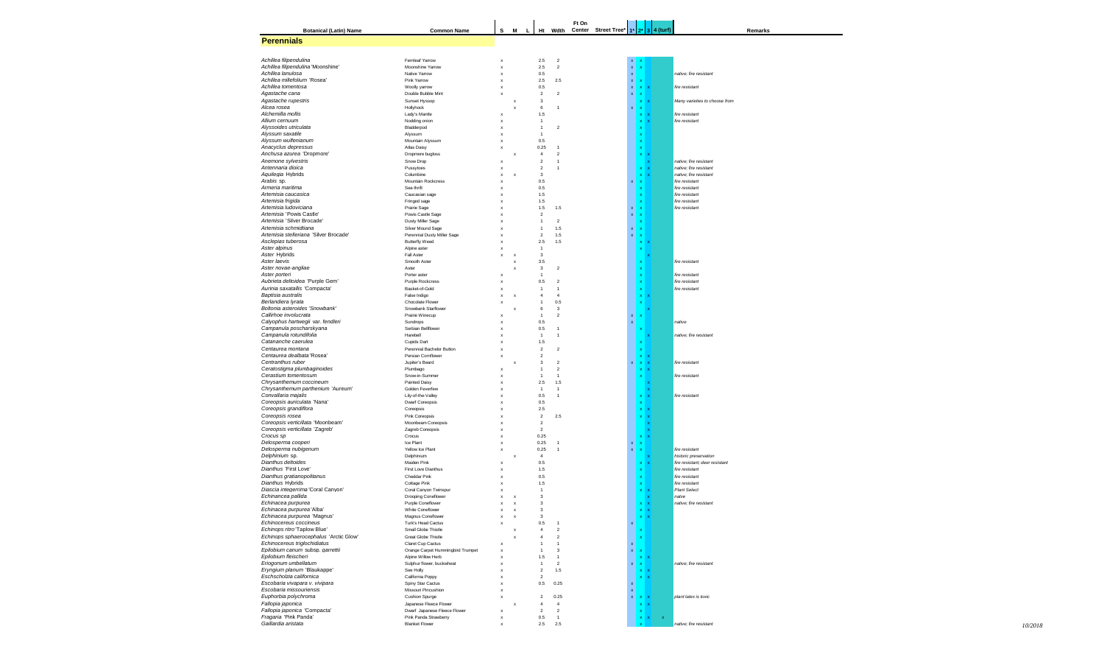| <b>Botanical (Latin) Name</b>                                | <b>Common Name</b>                                      | s                                                      | M                                                      | г<br>Ht                 | Wdth                           | Ft On | Center Street Tree* | $1^*$                     | $2^*$            | 4 (turf)<br>$\overline{\mathbf{3}}$ |                                  | Remarks |
|--------------------------------------------------------------|---------------------------------------------------------|--------------------------------------------------------|--------------------------------------------------------|-------------------------|--------------------------------|-------|---------------------|---------------------------|------------------|-------------------------------------|----------------------------------|---------|
| <b>Perennials</b>                                            |                                                         |                                                        |                                                        |                         |                                |       |                     |                           |                  |                                     |                                  |         |
|                                                              |                                                         |                                                        |                                                        |                         |                                |       |                     |                           |                  |                                     |                                  |         |
|                                                              |                                                         |                                                        |                                                        |                         |                                |       |                     |                           |                  |                                     |                                  |         |
| Achillea filipendulina<br>Achillea filipendulina 'Moonshine' | Femleaf Yarrow<br>Moonshine Yarrow                      | $\boldsymbol{\mathsf{x}}$<br>X                         |                                                        | 2.5<br>2.5              | $\sqrt{2}$<br>$\boldsymbol{2}$ |       |                     | $\mathbf{x}$<br>x         |                  |                                     |                                  |         |
| Achillea lanulosa                                            | Native Yarrow                                           | x                                                      |                                                        | 0.5                     |                                |       |                     | $\mathbf x$               |                  |                                     | native: fire resistant           |         |
| Achillea millefolium 'Rosea'                                 | Pink Yarrow                                             | x                                                      |                                                        | 2.5                     | 2.5                            |       |                     | $\mathbf x$               |                  |                                     |                                  |         |
| Achillea tomentosa                                           | Woolly yarrow                                           | X                                                      |                                                        | 0.5                     |                                |       |                     | $\mathbf x$               | x                |                                     | fire resistant                   |         |
| Agastache cana                                               | Double Bubble Mint                                      | $\boldsymbol{\mathsf{x}}$                              |                                                        | $\overline{\mathbf{c}}$ | $\overline{2}$                 |       |                     | x                         | x                |                                     |                                  |         |
| Agastache rupestris<br>Alcea rosea                           | Sunset Hyssop<br>Hollyhock                              |                                                        | $\boldsymbol{\mathsf{x}}$<br>$\boldsymbol{\mathsf{x}}$ | 3<br>6                  | 1                              |       |                     |                           | x                |                                     | Many varieties to choose from    |         |
| Alchemilla mollis                                            | Lady's Mantle                                           | X                                                      |                                                        | 1.5                     |                                |       |                     |                           | x                |                                     | fire resistant                   |         |
| Allium cernuum                                               | Nodding onion                                           | X                                                      |                                                        | $\overline{1}$          |                                |       |                     |                           | x                |                                     | fire resistant                   |         |
| Alyssoides utriculata                                        | Bladderpod                                              | X                                                      |                                                        | $\mathbf{1}$            | $\boldsymbol{2}$               |       |                     |                           |                  |                                     |                                  |         |
| Alyssum saxatile                                             | Alvssum                                                 | $\boldsymbol{\mathsf{x}}$                              |                                                        | $\overline{1}$          |                                |       |                     |                           |                  |                                     |                                  |         |
| Alyssum wulfenianum                                          | Mountain Alyssum                                        | $\boldsymbol{\mathsf{x}}$                              |                                                        | 0.5                     |                                |       |                     |                           | $\mathbf x$      |                                     |                                  |         |
| Anacyclus depressus<br>Anchusa azurea 'Dropmore'             | Atlas Daisy<br>Dropmore bugloss                         | $\boldsymbol{\mathsf{x}}$                              | $\boldsymbol{\mathsf{x}}$                              | 0.25<br>$\overline{4}$  | 1<br>$\sqrt{2}$                |       |                     |                           |                  |                                     |                                  |         |
| Anemone sylvestris                                           | Snow Drop                                               | X                                                      |                                                        | $\overline{2}$          | 1                              |       |                     |                           |                  |                                     | native: fire resistant           |         |
| Antennaria dioica                                            | Pussytoes                                               | x                                                      |                                                        | $\overline{2}$          | $\mathbf{1}$                   |       |                     |                           |                  |                                     | native; fire resistant           |         |
| Aquilegia Hybrids                                            | Columbine                                               | x                                                      | X                                                      | 3                       |                                |       |                     |                           |                  |                                     | native; fire resistant           |         |
| Arabis sp.                                                   | Mountain Rockcress                                      | X                                                      |                                                        | 0.5                     |                                |       |                     | x                         | x                |                                     | fire resistant                   |         |
| Armeria maritima                                             | Sea thrift                                              | X                                                      |                                                        | 0.5                     |                                |       |                     |                           |                  |                                     | fire resistant                   |         |
| Artemisia caucasica                                          | Caucasian sage                                          | X                                                      |                                                        | 1.5                     |                                |       |                     |                           | $\mathbf x$      |                                     | fire resistant                   |         |
| Artemisia frigida<br>Artemisia ludoviciana                   | Fringed sage<br>Prairie Sage                            | $\boldsymbol{\mathsf{x}}$<br>$\boldsymbol{\mathsf{x}}$ |                                                        | 1.5<br>1.5              | 1.5                            |       |                     | x                         | $\mathbf{x}$     |                                     | fire resistant<br>fire resistant |         |
| Artemisia 'Powis Castle'                                     | Powis Castle Sage                                       | x                                                      |                                                        | $\overline{2}$          |                                |       |                     | $\mathbf{x}$              | $\mathbf x$      |                                     |                                  |         |
| Artemisia 'Silver Brocade'                                   | Dusty Miller Sage                                       | x                                                      |                                                        | $\mathbf{1}$            | $\sqrt{2}$                     |       |                     |                           | x                |                                     |                                  |         |
| Artemisia schmidtiana                                        | Silver Mound Sage                                       | $\boldsymbol{\mathsf{x}}$                              |                                                        | $\overline{1}$          | 1.5                            |       |                     | x                         | $\mathbf{x}$     |                                     |                                  |         |
| Artemisia stelleriana 'Silver Brocade'                       | Perennial Dusty Miller Sage                             | X                                                      |                                                        | $\overline{2}$          | 1.5                            |       |                     | $\mathbf{x}$              |                  |                                     |                                  |         |
| Asclepias tuberosa                                           | <b>Butterfly Weed</b>                                   | X                                                      |                                                        | 2.5                     | 1.5                            |       |                     |                           |                  |                                     |                                  |         |
| Aster alpinus                                                | Alpine aster                                            | x                                                      |                                                        | $\overline{1}$          |                                |       |                     |                           |                  |                                     |                                  |         |
| Aster Hybrids                                                | Fall Aster                                              | X                                                      | $\boldsymbol{\mathsf{x}}$                              | 3                       |                                |       |                     |                           |                  |                                     |                                  |         |
| Aster laevis<br>Aster novae-angliae                          | Smooth Aster<br>Aster                                   |                                                        | $\boldsymbol{\mathsf{x}}$<br>$\boldsymbol{\mathsf{x}}$ | 3.5<br>3                | $\overline{\mathbf{c}}$        |       |                     |                           |                  |                                     | fire resistant                   |         |
| Aster porteri                                                | Porter aster                                            | X                                                      |                                                        | 1                       |                                |       |                     |                           | $\mathbf x$      |                                     | fire resistant                   |         |
| Aubrieta deltoidea 'Purple Gem'                              | Purple Rockcress                                        | $\boldsymbol{\mathsf{x}}$                              |                                                        | 0.5                     | $\overline{\mathbf{c}}$        |       |                     |                           | $\mathbf{x}$     |                                     | fire resistant                   |         |
| Aurinia saxatallis 'Compacta'                                | Basket-of-Gold                                          | $\boldsymbol{\mathsf{x}}$                              |                                                        | $\mathbf{1}$            | $\mathbf{1}$                   |       |                     |                           | $\mathbf{x}$     |                                     | fire resistant                   |         |
| Baptisia australis                                           | False Indigo                                            | X                                                      | x                                                      | $\overline{4}$          | $\overline{4}$                 |       |                     |                           | $\mathbf x$      |                                     |                                  |         |
| Berlandiera Ivrata                                           | Chocolate Flower                                        | $\boldsymbol{\mathsf{x}}$                              |                                                        | $\overline{1}$          | 0.5                            |       |                     |                           |                  |                                     |                                  |         |
| Boltonia asteroides 'Snowbank'                               | Snowbank Starflower                                     |                                                        | $\boldsymbol{\mathsf{x}}$                              | 6                       | $\mathbf 3$                    |       |                     |                           |                  |                                     |                                  |         |
| Callirhoe involucrata                                        | Prairie Winecup                                         | $\boldsymbol{\mathsf{x}}$                              |                                                        | $\mathbf{1}$            | $\overline{\mathbf{c}}$        |       |                     | $\mathbf x$               |                  |                                     |                                  |         |
| Calyophus hartwegii var. fendleri<br>Campanula poscharskyana | Sundrops<br>Serbian Bellflower                          | x<br>X                                                 |                                                        | 0.5<br>0.5              | 1                              |       |                     | $\mathbf x$               |                  |                                     | native                           |         |
| Campanula rotundifolia                                       | Harebell                                                | x                                                      |                                                        | $\overline{1}$          | 1                              |       |                     |                           |                  |                                     | native: fire resistant           |         |
| Catananche caerulea                                          | Cupids Dart                                             | X                                                      |                                                        | 1.5                     |                                |       |                     |                           |                  |                                     |                                  |         |
| Centaurea montana                                            | Perennial Bachelor Button                               | X                                                      |                                                        | $\overline{\mathbf{c}}$ | $\overline{2}$                 |       |                     |                           |                  |                                     |                                  |         |
| Centaurea dealbata 'Rosea'                                   | Persian Cornflower                                      | X                                                      |                                                        | $\boldsymbol{2}$        |                                |       |                     |                           |                  |                                     |                                  |         |
| Centranthus ruber                                            | Jupiter's Beard                                         |                                                        | $\boldsymbol{\mathsf{x}}$                              | 3                       | $\overline{\mathbf{c}}$        |       |                     |                           |                  |                                     | fire resistant                   |         |
| Ceratostigma plumbaginoides                                  | Plumbago                                                | $\boldsymbol{\mathsf{x}}$                              |                                                        | $\mathbf{1}$            | $\overline{\mathbf{c}}$        |       |                     |                           |                  |                                     |                                  |         |
| Cerastium tomentosum                                         | Snow-in-Summer                                          | X                                                      |                                                        | $\mathbf{1}$            | $\mathbf{1}$                   |       |                     |                           |                  |                                     | fire resistant                   |         |
| Chrysanthemum coccineum<br>Chrysanthemum parthenium 'Aureum' | Painted Daisy<br>Golden Feverfew                        | x<br>$\boldsymbol{\mathsf{x}}$                         |                                                        | 2.5<br>$\overline{1}$   | 1.5<br>1                       |       |                     |                           |                  |                                     |                                  |         |
| Convallaria majalis                                          | Lily-of-the-Valley                                      | $\boldsymbol{\mathsf{x}}$                              |                                                        | 0.5                     | $\mathbf{1}$                   |       |                     |                           |                  |                                     | fire resistant                   |         |
| Coreopsis auriculata 'Nana'                                  | Dwarf Coreopsis                                         | x                                                      |                                                        | 0.5                     |                                |       |                     |                           |                  |                                     |                                  |         |
| Coreopsis grandiflora                                        | Coreopsis                                               | x                                                      |                                                        | 2.5                     |                                |       |                     |                           |                  |                                     |                                  |         |
| Coreopsis rosea                                              | Pink Coreopsis                                          | X                                                      |                                                        | $\sqrt{2}$              | 2.5                            |       |                     |                           |                  |                                     |                                  |         |
| Coreopsis verticillata 'Moonbeam'                            | Moonbeam Coreopsis                                      | X                                                      |                                                        | $\overline{\mathbf{c}}$ |                                |       |                     |                           |                  |                                     |                                  |         |
| Coreopsis verticillata 'Zagreb'                              | Zagreb Coreopsis                                        | X                                                      |                                                        | $\overline{\mathbf{c}}$ |                                |       |                     |                           |                  |                                     |                                  |         |
| Crocus sp<br>Delosperma cooperi                              | Crocus<br>Ice Plant                                     | X<br>x                                                 |                                                        | 0.25<br>0.25            | 1                              |       |                     | $\boldsymbol{\mathsf{x}}$ | x                |                                     |                                  |         |
| Delosperma nubigenum                                         | Yellow Ice Plant                                        | $\boldsymbol{\mathsf{x}}$                              |                                                        | 0.25                    | 1                              |       |                     | $\pmb{\mathsf{x}}$        | $\mathbf x$      |                                     | fire resistant                   |         |
| Delphinium sp.                                               | Delphinium                                              |                                                        | $\boldsymbol{\mathsf{x}}$                              | $\overline{4}$          |                                |       |                     |                           |                  |                                     | historic preservation            |         |
| Dianthus deltoides                                           | Maiden Pink                                             | X                                                      |                                                        | 0.5                     |                                |       |                     |                           | x                |                                     | fire resistant; deer resistant   |         |
| Dianthus 'First Love'                                        | First Love Dianthus                                     | x                                                      |                                                        | 1.5                     |                                |       |                     |                           |                  |                                     | fire resistant                   |         |
| Dianthus gratianopolitanus                                   | Cheddar Pink                                            | x                                                      |                                                        | 0.5                     |                                |       |                     |                           | $\mathbf x$      |                                     | fire resistant                   |         |
| Dianthus Hybrids                                             | Cottage Pink                                            | x                                                      |                                                        | 1.5                     |                                |       |                     |                           |                  |                                     | fire resistant                   |         |
| Diascia integerrima 'Coral Canyon'                           | Coral Canyon Twinspur                                   | x                                                      |                                                        | $\overline{1}$<br>3     |                                |       |                     |                           |                  |                                     | <b>Plant Select</b><br>natve     |         |
| Echinancea pallida<br>Echinacea purpurea                     | Drooping Coneflower<br>Purple Coneflower                | x<br>x                                                 | $\boldsymbol{\mathsf{x}}$<br>$\boldsymbol{\mathsf{x}}$ | 3                       |                                |       |                     |                           |                  |                                     | native; fire resistant           |         |
| <i>Echinacea purpurea</i> 'Alba                              | White Coneflower                                        |                                                        |                                                        | 3                       |                                |       |                     |                           |                  |                                     |                                  |         |
| Echinacea purpurea 'Magnus'                                  | Magnus Coneflower                                       | x                                                      | X                                                      | 3                       |                                |       |                     |                           |                  |                                     |                                  |         |
| Echinocereus coccineus                                       | Turk's Head Cactus                                      | X                                                      |                                                        | 0.5                     | 1                              |       |                     | x                         |                  |                                     |                                  |         |
| Echinops ritro 'Taplow Blue'                                 | Small Globe Thistle                                     |                                                        | $\boldsymbol{\mathsf{x}}$                              | $\overline{4}$          | $\boldsymbol{2}$               |       |                     |                           |                  |                                     |                                  |         |
| Echinops sphaerocephalus 'Arctic Glow'                       | Great Globe Thistle                                     |                                                        |                                                        | $\overline{4}$          | $\overline{\mathbf{c}}$        |       |                     |                           | $\mathbf x$      |                                     |                                  |         |
| Echinocereus triglochidiatus                                 | Claret Cup Cactus                                       | X                                                      |                                                        | $\overline{1}$          | $\mathbf{1}$                   |       |                     | x                         |                  |                                     |                                  |         |
| Epilobium canum subsp. garrettii<br>Epilobium fleischeri     | Orange Carpet Hummingbird Trumpet<br>Alpine Willow Herb | x                                                      |                                                        | -1<br>1.5               | 3<br>$\mathbf{1}$              |       |                     | $\mathbf{x}$              | $\mathbf x$      |                                     |                                  |         |
| Eriogonum umbellatum                                         | Sulphur flower, buckwheat                               | $\boldsymbol{\mathsf{x}}$<br>$\boldsymbol{\mathsf{x}}$ |                                                        | $\overline{1}$          | $\sqrt{2}$                     |       |                     | $\mathbf{x}$              | x<br>$\mathbf x$ |                                     | native; fire resistant           |         |
| Eryngium planum 'Blaukappe'                                  | See Holly                                               | x                                                      |                                                        | $\overline{\mathbf{c}}$ | 1.5                            |       |                     |                           | x                |                                     |                                  |         |
| Eschscholzia californica                                     | California Poppy                                        | x                                                      |                                                        | $\overline{2}$          |                                |       |                     |                           | x                |                                     |                                  |         |
| Escobaria vivapara v. vivipara                               | Spiny Star Cactus                                       | x                                                      |                                                        | 0.5                     | 0.25                           |       |                     | x                         |                  |                                     |                                  |         |
| Escobaria missouriensis                                      | Missouri Pincushion                                     | X                                                      |                                                        |                         |                                |       |                     | $\mathbf x$               |                  |                                     |                                  |         |
| Euphorbia polychroma                                         | Cushion Spurge                                          | X                                                      |                                                        | $\overline{\mathbf{c}}$ | 0.25                           |       |                     | x                         | $\mathbf x$      |                                     | plant latex is toxic             |         |
| Fallopia japonica                                            | Japanese Fleece Flower                                  |                                                        | x                                                      | 4                       | $\overline{4}$                 |       |                     |                           | x                | $\boldsymbol{\mathsf{x}}$           |                                  |         |
| Fallopia japonica 'Compacta'<br>Fragaria 'Pink Panda'        | Dwarf Japanese Fleece Flower                            | x                                                      |                                                        | $\boldsymbol{2}$        | 2                              |       |                     |                           |                  |                                     |                                  |         |
| Gaillardia aristata                                          | Pink Panda Strawberry<br><b>Blanket Flower</b>          | X                                                      |                                                        | 0.5<br>2.5              | $\mathbf{1}$<br>2.5            |       |                     |                           | x                | $\boldsymbol{\mathsf{x}}$           | native; fire resistant           |         |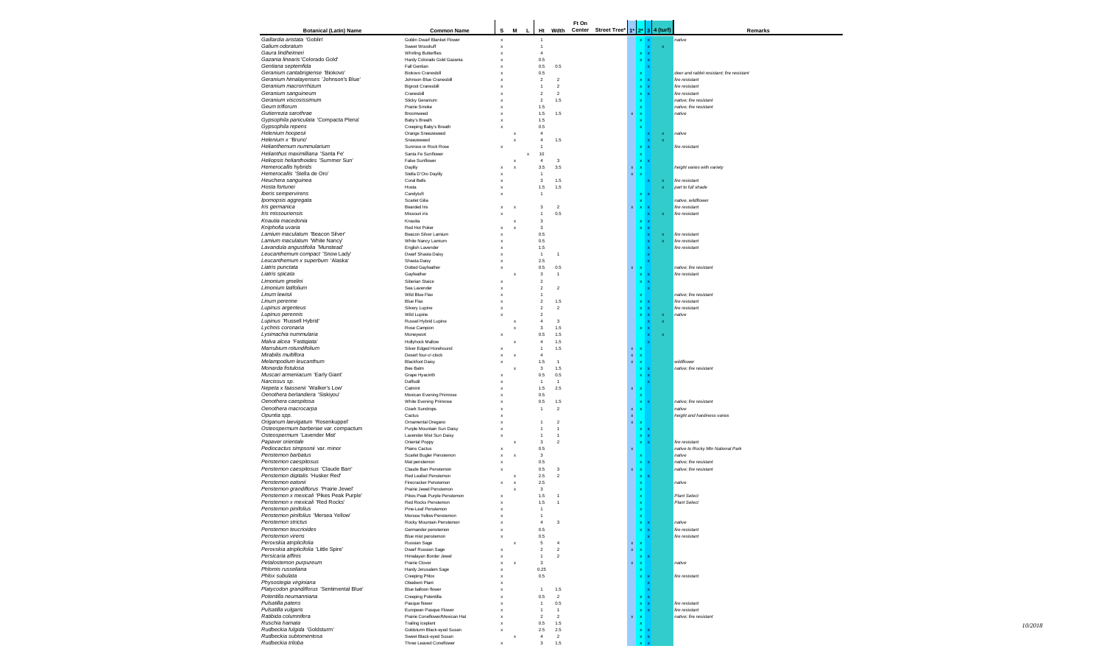| <b>Botanical (Latin) Name</b>              | <b>Common Name</b>             | s                         |                           | M <sub>L</sub>            |                |                         | Ft On | Ht Wdth Center Street Tree* |                    |                           |                           | $1*$ 2* 3 4 (turf) | Remarks                                   |
|--------------------------------------------|--------------------------------|---------------------------|---------------------------|---------------------------|----------------|-------------------------|-------|-----------------------------|--------------------|---------------------------|---------------------------|--------------------|-------------------------------------------|
| Gaillardia aristata 'Goblin'               | Goblin Dwarf Blanket Flower    | $\boldsymbol{\mathsf{x}}$ |                           |                           |                |                         |       |                             |                    |                           |                           |                    | native                                    |
| Galium odoratum                            | Sweet Woodruff                 | $\mathsf x$               |                           |                           | $\mathbf{1}$   |                         |       |                             |                    |                           |                           |                    |                                           |
| Gaura lindheimeri                          | <b>Whirling Butterflies</b>    | $\boldsymbol{\mathsf{x}}$ |                           |                           | $\overline{4}$ |                         |       |                             |                    | $\mathbf x$               | $\boldsymbol{\mathsf{x}}$ |                    |                                           |
| Gazania linearis 'Colorado Gold'           | Hardy Colorado Gold Gazania    | $\boldsymbol{\mathsf{x}}$ |                           |                           | $0.5\,$        |                         |       |                             |                    | $\mathbf x$               | $\boldsymbol{\mathsf{x}}$ |                    |                                           |
| Gentiana septemfida                        | Fall Gentian                   | $\boldsymbol{\mathsf{x}}$ |                           |                           | $0.5\,$        | 0.5                     |       |                             |                    |                           |                           |                    |                                           |
| Geranium cantabrigiense 'Biokovo'          | <b>Biokovo Cranesbill</b>      | $\boldsymbol{\mathsf{x}}$ |                           |                           | $0.5\,$        |                         |       |                             |                    | $\mathbf x$               |                           |                    | deer and rabbit resistant; fire resistant |
| Geranium himalayenses 'Johnson's Blue'     | Johnson Blue Cranesbill        | $\boldsymbol{\mathsf{x}}$ |                           |                           | $\overline{2}$ | $\overline{2}$          |       |                             |                    | $\mathbf{x}$              |                           |                    | fire resistant                            |
| Geranium macrorrrhizum                     | <b>Bigroot Cranesbill</b>      | $\boldsymbol{\mathsf{x}}$ |                           |                           | $\mathbf{1}$   | $\overline{2}$          |       |                             |                    | $\mathbf x$               |                           |                    | fire resistant                            |
| Geranium sanguineum                        | Cranesbill                     | $\boldsymbol{\mathsf{x}}$ |                           |                           | $\overline{2}$ | $\overline{2}$          |       |                             |                    | $\mathbf x$               |                           |                    | fire resistant                            |
| Geranium viscosissimum                     | Sticky Geranium                | $\mathbf{x}$              |                           |                           | $\mathcal{P}$  | 1.5                     |       |                             |                    |                           |                           |                    | native; fire resistant                    |
| Geum triflorum                             | Prairie Smoke                  | $\mathbf{x}$              |                           |                           | $1.5\,$        |                         |       |                             |                    |                           |                           |                    | native; fire resistant                    |
| Gutierrezia sarothrae                      | Broomweed                      | $\mathbf{x}$              |                           |                           | $1.5\,$        | 1.5                     |       |                             | x                  |                           |                           |                    | native                                    |
| Gypsophila paniculata 'Compacta Plena'     | Baby's Breath                  | $\boldsymbol{\mathsf{x}}$ |                           |                           | $1.5\,$        |                         |       |                             |                    |                           |                           |                    |                                           |
| Gypsophila repens                          | Creeping Baby's Breath         | $\boldsymbol{\mathsf{x}}$ |                           |                           | 0.5            |                         |       |                             |                    |                           |                           |                    |                                           |
| Helenium hoopesii                          | Orange Sneezeweed              |                           | x                         |                           | $\overline{4}$ |                         |       |                             |                    |                           |                           |                    | native                                    |
| Helenium x 'Bruno'                         | Sneezeweed                     |                           | x                         |                           | $\overline{4}$ | 1.5                     |       |                             |                    |                           |                           |                    |                                           |
| Helianthemum nummularium                   | Sunrose or Rock Rose           | $\boldsymbol{\mathsf{x}}$ |                           |                           | $\overline{1}$ |                         |       |                             |                    |                           |                           |                    | fire resistant                            |
| Helianthus maximilliana 'Santa Fe'         | Santa Fe Sunflower             |                           |                           | $\boldsymbol{\mathsf{x}}$ | 10             |                         |       |                             |                    |                           |                           |                    |                                           |
| Heliopsis helianthoides 'Summer Sun'       | False Sunflower                |                           | $\mathbf x$               |                           | $\overline{4}$ | 3                       |       |                             |                    |                           |                           |                    |                                           |
| Hemerocallis hybrids                       | Daylily                        | $\mathbf{x}$              | $\boldsymbol{\mathsf{x}}$ |                           | 3.5            | 3.5                     |       |                             | $\mathbf{x}$       |                           |                           |                    | height varies with variety                |
| Hemerocallis 'Stella de Oro'               | Stella D'Oro Davlilv           | $\boldsymbol{\mathsf{x}}$ |                           |                           | $\overline{1}$ |                         |       |                             | $\mathbf x$        |                           |                           |                    |                                           |
| Heuchera sanguinea                         | Coral Bells                    | $\boldsymbol{\mathsf{x}}$ |                           |                           | 3              | 1.5                     |       |                             |                    |                           |                           |                    | fire resistant                            |
| Hosta fortunei                             | Hosta                          | х                         |                           |                           | $1.5$          | 1.5                     |       |                             |                    |                           |                           |                    | part to full shade                        |
| Iberis sempervirens                        | Candytuft                      | $\boldsymbol{\mathsf{x}}$ |                           |                           | $\overline{1}$ |                         |       |                             |                    |                           |                           |                    |                                           |
| Ipomopsis aggregata                        | Scarlet Gilia                  |                           |                           |                           |                |                         |       |                             |                    |                           |                           |                    | native, wildflower                        |
| Iris germanica                             | <b>Bearded Iris</b>            | $\boldsymbol{\mathsf{x}}$ | $\boldsymbol{\mathsf{x}}$ |                           | 3              | $\overline{\mathbf{c}}$ |       |                             | x                  | $\mathbf{x}$              |                           |                    | fire resistant                            |
| Iris missouriensis                         | Missouri iris                  |                           |                           |                           | $\mathbf{1}$   | 0.5                     |       |                             |                    |                           |                           |                    | fire resistant                            |
| Knautia macedonia                          | Knautia                        |                           | x                         |                           | 3              |                         |       |                             |                    |                           |                           |                    |                                           |
| Kniphofia uvaria                           | Red Hot Poker                  | $\boldsymbol{\mathsf{x}}$ | ×                         |                           | 3              |                         |       |                             |                    |                           |                           |                    |                                           |
| Lamium maculatum 'Beacon Silver'           | Beacon Silver Lamium           | $\boldsymbol{\mathsf{x}}$ |                           |                           | $0.5\,$        |                         |       |                             |                    |                           |                           |                    | fire resistant                            |
| Lamium maculatum 'White Nancy'             | White Nancy Lamium             | $\boldsymbol{\mathsf{x}}$ |                           |                           | $0.5\,$        |                         |       |                             |                    |                           |                           |                    | fire resistant                            |
| Lavandula angustifolia 'Munstead'          | English Lavender               | $\boldsymbol{\mathsf{x}}$ |                           |                           | 1.5            |                         |       |                             |                    |                           |                           |                    | fire resistant                            |
| Leucanthemum compact 'Snow Lady'           | Dwarf Shasta Daisy             | $\boldsymbol{\mathsf{x}}$ |                           |                           | $\overline{1}$ |                         |       |                             |                    |                           |                           |                    |                                           |
| Leucanthemum x superbum 'Alaska'           | Shasta Daisy                   | $\boldsymbol{\mathsf{x}}$ |                           |                           | 2.5            |                         |       |                             |                    |                           |                           |                    |                                           |
|                                            |                                |                           |                           |                           |                |                         |       |                             |                    |                           |                           |                    |                                           |
| Liatris punctata                           | Dotted Gayfeather              | $\mathbf{x}$              |                           |                           | 0.5            | 0.5                     |       |                             | x                  |                           |                           |                    | native: fire resistant                    |
| Liatris spicata                            | Gayfeather                     |                           | x                         |                           | 3              | $\overline{1}$          |       |                             |                    |                           |                           |                    | fire resistant                            |
| Limonium gmelini                           | Siberian Staice                | $\mathbf{x}$              |                           |                           | $\overline{2}$ |                         |       |                             |                    |                           |                           |                    |                                           |
| Limonium latifolium                        | Sea Lavender                   | $\boldsymbol{\mathsf{x}}$ |                           |                           | $\overline{2}$ | $\overline{2}$          |       |                             |                    |                           |                           |                    |                                           |
| Linum lewisii                              | Wild Blue Flax                 | $\boldsymbol{\mathsf{x}}$ |                           |                           | $\mathbf{1}$   |                         |       |                             |                    |                           |                           |                    | native; fire resistant                    |
| Linum perenne                              | <b>Blue Flax</b>               | $\boldsymbol{\mathsf{x}}$ |                           |                           | $\overline{2}$ | 1.5                     |       |                             |                    |                           |                           |                    | fire resistant                            |
| Lupinus argenteus                          | Silvery Lupine                 | $\boldsymbol{\mathsf{x}}$ |                           |                           | $\overline{2}$ | $\overline{2}$          |       |                             |                    | $\mathbf x$               |                           |                    | fire resistant                            |
| Lupinus perennis                           | Wild Lupine                    |                           |                           |                           | $\overline{2}$ |                         |       |                             |                    |                           |                           |                    | native                                    |
| Lupinus 'Russell Hybrid'                   | Russel Hybrid Lupine           |                           | $\boldsymbol{\mathsf{x}}$ |                           | $\overline{4}$ | 3                       |       |                             |                    |                           |                           |                    |                                           |
| Lychnis coronaria                          | Rose Campion                   |                           | x                         |                           | 3              | 1.5                     |       |                             |                    |                           |                           |                    |                                           |
| Lysimachia nummularia                      | Moneywort                      | $\boldsymbol{\mathsf{x}}$ |                           |                           | 0.5            | 1.5                     |       |                             |                    |                           |                           |                    |                                           |
| Malva alcea 'Fastigiata'                   | <b>Hollyhock Mallow</b>        |                           | $\boldsymbol{\mathsf{x}}$ |                           | $\overline{4}$ | 1.5                     |       |                             |                    |                           |                           |                    |                                           |
| Marrubium rotundifolium                    | Silver Edged Horehound         | $\boldsymbol{\mathsf{x}}$ |                           |                           | $\mathbf{1}$   | 1.5                     |       |                             | x                  |                           |                           |                    |                                           |
| Mirabilis multiflora                       | Desert four-o'-clock           | $\mathsf x$               | $\boldsymbol{\mathsf{x}}$ |                           | $\overline{4}$ |                         |       |                             | $\mathbf{x}$       |                           |                           |                    |                                           |
| Melampodium leucanthum                     | <b>Blackfoot Daisy</b>         | $\mathsf x$               |                           |                           | $1.5\,$        | $\overline{1}$          |       |                             | $\mathbf x$        | $\boldsymbol{\mathsf{x}}$ |                           |                    | wildflower                                |
| Monarda fistulosa                          | Bee Balm                       |                           | $\boldsymbol{\mathsf{x}}$ |                           | 3              | 1.5                     |       |                             |                    | $\mathbf x$               |                           |                    | native; fire resistant                    |
| Muscari armeniacum 'Early Giant'           | Grape Hyacinth                 | $\boldsymbol{\mathsf{x}}$ |                           |                           | 0.5            | 0.5                     |       |                             |                    | $\mathbf x$               |                           |                    |                                           |
| Narcissus sp.                              | Daffodil                       | $\boldsymbol{\mathsf{x}}$ |                           |                           | $\mathbf{1}$   | $\overline{1}$          |       |                             |                    |                           |                           |                    |                                           |
| Nepeta x faassenii 'Walker's Low'          | Catmint                        | $\boldsymbol{\mathsf{x}}$ |                           |                           | $1.5$          | 2.5                     |       |                             | $\mathbf{x}$       | $\boldsymbol{\mathsf{x}}$ |                           |                    |                                           |
| Oenothera berlandiera 'Siskiyou'           | Mexican Evening Primrose       | $\boldsymbol{\mathsf{x}}$ |                           |                           | $0.5\,$        |                         |       |                             |                    | $\boldsymbol{\mathsf{x}}$ |                           |                    |                                           |
| Oenothera caespitosa                       | White Evening Primrose         | $\boldsymbol{\mathsf{x}}$ |                           |                           | $0.5\,$        | $1.5$                   |       |                             |                    | $\mathbf x$               |                           |                    | native; fire resistant                    |
| Oenothera macrocarpa                       | Ozark Sundrops                 | $\boldsymbol{\mathsf{x}}$ |                           |                           | $\mathbf{1}$   | $\overline{2}$          |       |                             | $\mathbf{x}$       | $\mathbf{x}$              |                           |                    | native                                    |
| Opuntia spp.                               | Cactus                         | $\boldsymbol{\mathsf{x}}$ |                           |                           |                |                         |       |                             | $\bar{\mathbf{x}}$ |                           |                           |                    | height and hardiness varies               |
| Origanum laevigatum 'Rosenkuppel'          | Ornamental Oregano             | $\boldsymbol{\mathsf{x}}$ |                           |                           | -1             | $\overline{2}$          |       |                             | x                  | $\mathbf{x}$              |                           |                    |                                           |
| Osteospermum barberiae var. compactum      | Purple Mountain Sun Daisy      | $\boldsymbol{\mathsf{x}}$ |                           |                           | $\mathbf{1}$   | $\overline{1}$          |       |                             |                    | $\mathbf x$               |                           |                    |                                           |
| Osteospermum 'Lavender Mist'               | Lavender Mist Sun Daisy        | $\boldsymbol{\mathsf{x}}$ |                           |                           | $\mathbf{1}$   | $\overline{1}$          |       |                             |                    | $\mathbf x$               |                           |                    |                                           |
| Papaver orientale                          | Oriental Poppy                 |                           | x                         |                           | 3              | $\overline{2}$          |       |                             |                    |                           |                           |                    | fire resistant                            |
| Pediocactus simpsonii var. minor           | Plains Cactus                  | $\boldsymbol{\mathsf{x}}$ |                           |                           | $0.5\,$        |                         |       |                             | x                  |                           |                           |                    | native to Rocky Mtn National Park         |
| Penstemon barbatus                         | Scarlet Bugler Penstemon       |                           | $\boldsymbol{\mathsf{x}}$ |                           | 3              |                         |       |                             |                    |                           |                           |                    | native                                    |
| Penstemon caespitosus                      | Mat penstemon                  |                           |                           |                           | 0.5            |                         |       |                             |                    | $\mathbf x$               |                           |                    | native; fire resistant                    |
| Penstemon caespitosus 'Claude Barr'        | Claude Barr Penstemon          |                           |                           |                           | 0.5            | 3                       |       |                             | x                  | $\boldsymbol{\mathsf{x}}$ |                           |                    | native; fire resistant                    |
| Penstemon digitalis 'Husker Red'           | Red Leafed Penstemon           |                           | x                         |                           | 2.5            | $\overline{2}$          |       |                             |                    | $\mathbf x$               |                           |                    |                                           |
| Penstemon eatonii                          |                                |                           |                           |                           |                |                         |       |                             |                    |                           |                           |                    |                                           |
|                                            | Firecracker Penstemon          | $\boldsymbol{\mathsf{x}}$ | $\boldsymbol{\mathsf{x}}$ |                           | $2.5\,$        |                         |       |                             |                    |                           |                           |                    | native                                    |
| Penstemon grandiflorus 'Prairie Jewel'     | Prairie Jewel Penstemon        |                           | x                         |                           | 3              |                         |       |                             |                    |                           |                           |                    |                                           |
| Penstemon x mexicali 'Pikes Peak Purple'   | Pikes Peak Purple Penstemon    | $\boldsymbol{\mathsf{x}}$ |                           |                           | $1.5\,$        | $\overline{1}$          |       |                             |                    |                           |                           |                    | <b>Plant Select</b>                       |
| Penstemon x mexicali 'Red Rocks'           | Red Rocks Penstemon            | $\mathbf{x}$              |                           |                           | 1.5            | $\overline{1}$          |       |                             |                    |                           |                           |                    | <b>Plant Select</b>                       |
| Penstemon pinifolius                       | Pine-Leaf Penstemon            | $\mathbf{x}$              |                           |                           | -1             |                         |       |                             |                    |                           |                           |                    |                                           |
| Penstemon pinifolius 'Mersea Yellow'       | Mersea Yellow Penstemon        | $\boldsymbol{\mathsf{x}}$ |                           |                           | $\mathbf{1}$   |                         |       |                             |                    | $\mathbf x$               |                           |                    |                                           |
| Penstemon strictus                         | Rocky Mountain Penstemon       | $\mathsf x$               |                           |                           | 4              | 3                       |       |                             |                    | $\mathbf x$               |                           |                    | native                                    |
| Penstemon teucrioides                      | Germander penstemon            | $\mathbf{x}$              |                           |                           | 0.5            |                         |       |                             |                    | $\mathbf{x}$              |                           |                    | fire resistant                            |
| Penstemon virens                           | Blue mist penstemon            | $\mathbf{x}$              |                           |                           | 0.5            |                         |       |                             |                    |                           |                           |                    | fire resistant                            |
| Perovskia atriplicifolia                   | Russian Sage                   |                           | $\boldsymbol{\mathsf{x}}$ |                           | 5              | $\overline{4}$          |       |                             | x                  | $\boldsymbol{\mathsf{x}}$ |                           |                    |                                           |
| Perovskia atriplicifolia 'Little Spire'    | Dwarf Russian Sage             | $\mathsf x$               |                           |                           | $\overline{2}$ | $\overline{\mathbf{c}}$ |       |                             | x                  | $\mathbf{x}$              |                           |                    |                                           |
| Persicaria affinis                         | Himalayan Border Jewel         | $\boldsymbol{\mathsf{x}}$ |                           |                           | $\mathbf{1}$   | $\overline{2}$          |       |                             |                    | $x \, x$                  |                           |                    |                                           |
| Petalostemon purpureum                     | Prairie Clover                 | $\mathbf{x}$              | $\boldsymbol{\mathsf{x}}$ |                           | $\sqrt{3}$     |                         |       |                             | $\mathbf{x}$       | $\mathbf x$               |                           |                    | native                                    |
| Phlomis russeliana                         | Hardy Jerusalem Sage           | $\mathbf{x}$              |                           |                           | 0.25           |                         |       |                             |                    | x                         |                           |                    |                                           |
| Phlox subulata                             | Creeping Phlox                 | $\boldsymbol{\mathsf{x}}$ |                           |                           | 0.5            |                         |       |                             |                    | $\mathbf{x}$              |                           |                    | fire resistant                            |
| Physostegia virginiana                     | Obedient Plant                 | $\mathbf{x}$              |                           |                           |                |                         |       |                             |                    |                           |                           |                    |                                           |
| Platycodon grandiflorus 'Sentimental Blue' | Blue balloon flower            | $\mathbf{x}$              |                           |                           | $\overline{1}$ | 1.5                     |       |                             |                    |                           |                           |                    |                                           |
| Potentilla neumanniana                     | Creeping Potentilla            | $\boldsymbol{\mathsf{x}}$ |                           |                           | 0.5            | $\overline{2}$          |       |                             |                    |                           | $\mathbf{x}$              |                    |                                           |
|                                            |                                |                           |                           |                           |                |                         |       |                             |                    | x                         |                           |                    |                                           |
| Pulsatilla patens                          | Pasque flower                  | $\boldsymbol{\mathsf{x}}$ |                           |                           | $\overline{1}$ | 0.5                     |       |                             |                    | $\mathbf x$               | $\mathbf{x}$              |                    | fire resistant                            |
| Pulsatilla vulgaris                        | European Pasque Flower         | $\boldsymbol{\mathsf{x}}$ |                           |                           | $\overline{1}$ | $\overline{1}$          |       |                             |                    | $\mathbf{x}$              |                           |                    | fire resistant                            |
| Ratibida columnifera                       | Prairie Coneflower/Mexican Hat | $\mathbf{x}$              |                           |                           | $\overline{2}$ | $\overline{2}$          |       |                             | x                  | $\mathbf{x}$              |                           |                    | native; fire resistant                    |
| Ruschia hamata                             | Trailing Iceplant              | $\boldsymbol{\mathsf{x}}$ |                           |                           | 0.5            | 1.5                     |       |                             |                    |                           |                           |                    |                                           |
| Rudbeckia fulgida 'Goldsturm'              | Goldsturm Black-eyed Susan     | $\boldsymbol{\mathsf{x}}$ |                           |                           | $2.5\,$        | 2.5                     |       |                             |                    |                           |                           |                    |                                           |
| Rudbeckia subtomentosa                     | Sweet Black-eyed Susan         |                           | x                         |                           | $\overline{4}$ | $\overline{2}$          |       |                             |                    | $\mathbf x$               |                           |                    |                                           |
| Rudbeckia triloba                          | Three Leaved Coneflower        | $\boldsymbol{\mathsf{x}}$ |                           |                           | 3              | $1.5$                   |       |                             |                    | $x \, x$                  |                           |                    |                                           |
|                                            |                                |                           |                           |                           |                |                         |       |                             |                    |                           |                           |                    |                                           |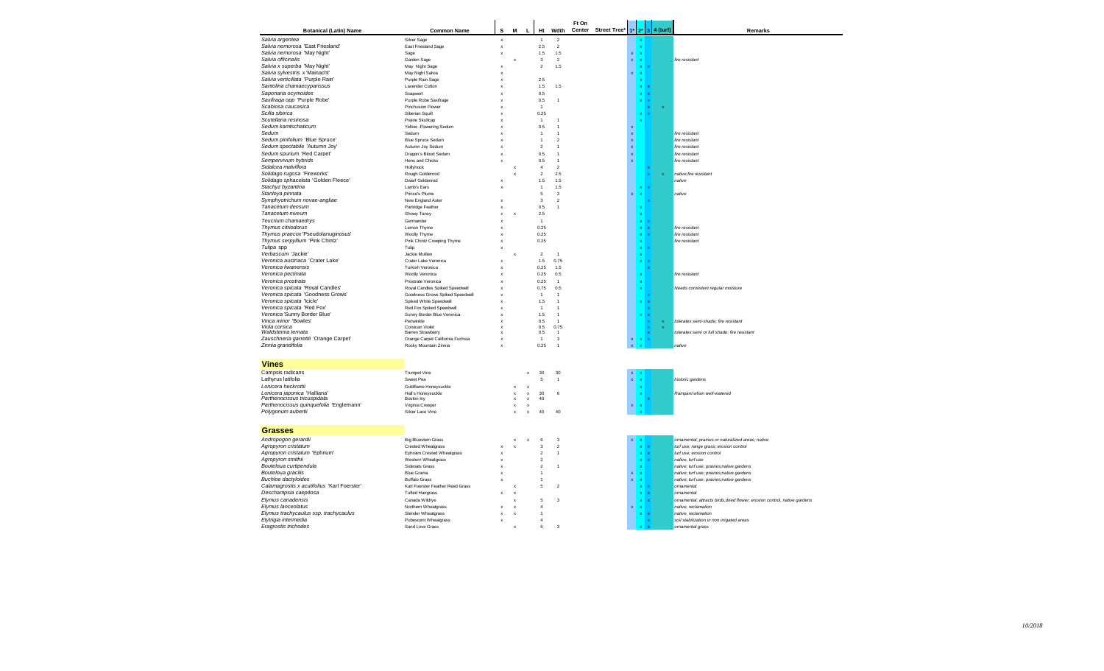| <b>Botanical (Latin) Name</b>               | <b>Common Name</b>                | s                         | M                         | L<br>Ht                         |      | Wdth                    | Ft On | Center Street Tree* |                    |                           |                                   | $1*$ 2* 3 4 (turf) | Remarks                                                                   |
|---------------------------------------------|-----------------------------------|---------------------------|---------------------------|---------------------------------|------|-------------------------|-------|---------------------|--------------------|---------------------------|-----------------------------------|--------------------|---------------------------------------------------------------------------|
| Salvia argentea                             | Silver Sage                       | $\boldsymbol{\mathsf{x}}$ |                           | $\overline{1}$                  |      | $\overline{2}$          |       |                     |                    |                           |                                   |                    |                                                                           |
| Salvia nemorosa 'East Friesland'            | East Friesland Sage               | $\boldsymbol{\mathsf{x}}$ |                           | $2.5\,$                         |      | $\sqrt{2}$              |       |                     |                    | $\boldsymbol{\mathsf{x}}$ |                                   |                    |                                                                           |
| Salvia nemorosa 'May Night'                 | Sage                              | $\mathbf{x}$              |                           | 1.5                             |      | 1.5                     |       |                     | $\mathbf{x}$       | $\mathbf{x}$              |                                   |                    |                                                                           |
| Salvia officinalis                          | Garden Sage                       |                           |                           | 3                               |      | $\overline{2}$          |       |                     | $\mathbf{x}$       | $\boldsymbol{\mathsf{x}}$ |                                   |                    | fire resistant                                                            |
| Salvia x superba 'May Night'                |                                   |                           | X                         |                                 |      |                         |       |                     |                    |                           |                                   |                    |                                                                           |
|                                             | May Night Sage                    | $\boldsymbol{\mathsf{x}}$ |                           | $\sqrt{2}$                      |      | 1.5                     |       |                     |                    |                           |                                   |                    |                                                                           |
| Salvia sylvestris x 'Mainacht'              | May Night Salvia                  | x                         |                           |                                 |      |                         |       |                     | $\mathbf x$        | $\boldsymbol{\mathsf{x}}$ |                                   |                    |                                                                           |
| Salvia verticillata 'Purple Rain'           | Purple Rain Sage                  | x                         |                           | 2.5                             |      |                         |       |                     |                    |                           |                                   |                    |                                                                           |
| Santolina chamaecyparissus                  | Lavender Cotton                   | x                         |                           | $1.5$                           |      | 1.5                     |       |                     |                    | $\mathbf x$               |                                   |                    |                                                                           |
| Saponaria ocymoides                         | Soapwort                          | x                         |                           | 0.5                             |      |                         |       |                     |                    | $\mathbf{x}$              |                                   |                    |                                                                           |
| Saxifraga opp 'Purple Robe'                 | Pumle Robe Saxifrage              | $\mathbf x$               |                           | 0.5                             |      | $\overline{1}$          |       |                     |                    |                           |                                   |                    |                                                                           |
| Scabiosa caucasica                          | <b>Pinchusion Flower</b>          | x                         |                           | $\overline{1}$                  |      |                         |       |                     |                    |                           |                                   | x                  |                                                                           |
| Scilla sibirica                             | Siberian Squill                   |                           |                           | 0.25                            |      |                         |       |                     |                    | $\mathbf x$               |                                   |                    |                                                                           |
| Scutellaria resinosa                        | Prairie Skullcap                  |                           |                           | $\overline{1}$                  |      | $\overline{1}$          |       |                     |                    | $\mathbf{x}$              |                                   |                    |                                                                           |
| Sedum kamtschaticum                         | Yellow - Flowering Sedum          |                           |                           | 0.5                             |      | $\overline{1}$          |       |                     |                    |                           |                                   |                    |                                                                           |
| Sedum                                       | Sedum                             |                           |                           | $\overline{1}$                  |      | $\overline{1}$          |       |                     | $\bar{\mathbf{x}}$ |                           |                                   |                    | fire resistant                                                            |
| Sedum pinifolium 'Blue Spruce'              |                                   |                           |                           | $\overline{1}$                  |      | $\mathcal{P}$           |       |                     |                    |                           |                                   |                    | fire resistant                                                            |
|                                             | <b>Blue Spruce Sedum</b>          |                           |                           |                                 |      |                         |       |                     | $\bar{\mathbf{x}}$ |                           |                                   |                    |                                                                           |
| Sedum spectabile 'Autumn Joy'               | Autumn Joy Sedum                  |                           |                           | $\mathfrak{p}$                  |      | $\overline{1}$          |       |                     | $\bar{\mathbf{x}}$ |                           |                                   |                    | fire resistant                                                            |
| Sedum spurium 'Red Carpet'                  | Dragon's Blood Sedum              | $\mathbf x$               |                           | 0.5                             |      | $\overline{1}$          |       |                     | $\bar{\mathbf{x}}$ |                           |                                   |                    | fire resistant                                                            |
| Sempervivum hybrids                         | Hens and Chicks                   | $\mathbf{x}$              |                           | 0.5                             |      | $\overline{1}$          |       |                     | $\bar{\mathbf{x}}$ |                           |                                   |                    | fire resistant                                                            |
| Sidalcea malviflora                         | Hollyhock                         |                           | $\mathbf x$               | $\overline{4}$                  |      | $\overline{2}$          |       |                     |                    |                           |                                   |                    |                                                                           |
| Solidago rugosa 'Fireworks'                 | Rough Goldenrod                   |                           | $\boldsymbol{\mathsf{x}}$ | $\sqrt{2}$                      |      | 2.5                     |       |                     |                    |                           | $\mathbf{x}$                      | $\mathbf{x}$       | native;fire resistant                                                     |
| Solidago sphacelata 'Golden Fleece'         | Dwarf Goldenrod                   | x                         |                           | $1.5\,$                         |      | 1.5                     |       |                     |                    |                           |                                   |                    | native                                                                    |
| Stachyz byzantina                           | Lamb's Ears                       | x                         |                           | $\overline{1}$                  |      | 1.5                     |       |                     |                    | x                         |                                   |                    |                                                                           |
| Stanleya pinnata                            | Prince's Plume                    |                           |                           | 5                               |      | 3                       |       |                     | $\mathbf x$        |                           |                                   |                    | native                                                                    |
| Symphyotrichum novae-angliae                | New England Aster                 | $\mathbf{x}$              |                           | $\mathbf 3$                     |      | $\overline{2}$          |       |                     |                    |                           |                                   |                    |                                                                           |
|                                             |                                   |                           |                           |                                 |      |                         |       |                     |                    |                           |                                   |                    |                                                                           |
| Tanacetum densum                            | Partridge Feather                 | $\mathbf x$               |                           | 0.5                             |      | $\overline{1}$          |       |                     |                    |                           |                                   |                    |                                                                           |
| Tanacetum niveum                            | Showy Tansy                       | x                         |                           | 2.5                             |      |                         |       |                     |                    | $\mathbf x$               |                                   |                    |                                                                           |
| Teucrium chamaedrys                         | Germander                         | x                         |                           | $\overline{1}$                  |      |                         |       |                     |                    | $\mathbf x$               |                                   |                    |                                                                           |
| Thymus citriodorus                          | Lemon Thyme                       | x                         |                           | 0.25                            |      |                         |       |                     |                    |                           | $\mathbf{x} \parallel \mathbf{x}$ |                    | fire resistant                                                            |
| Thymus praecox 'Pseudolanuginosus'          | Woolly Thyme                      | x                         |                           | 0.25                            |      |                         |       |                     |                    | $\mathbf{x}$              |                                   |                    | fire resistant                                                            |
| Thymus serpyllium 'Pink Chintz'             | Pink Chintz Creeping Thyme        | x                         |                           | 0.25                            |      |                         |       |                     |                    | $\mathbf x$               |                                   |                    | fire resistant                                                            |
| Tulipa spp                                  | Tulip                             | x                         |                           |                                 |      |                         |       |                     |                    |                           | $x \times$                        |                    |                                                                           |
| Verbascum 'Jackie'                          | Jackie Mullien                    |                           | x                         | $\overline{2}$                  |      | $\overline{1}$          |       |                     |                    | $\mathbf{x}$              |                                   |                    |                                                                           |
| Veronica austriaca 'Crater Lake'            | Crater Lake Veronica              | x                         |                           | 1.5                             |      | 0.75                    |       |                     |                    | $\mathbf{x}$              |                                   |                    |                                                                           |
|                                             |                                   |                           |                           |                                 |      |                         |       |                     |                    |                           |                                   |                    |                                                                           |
| Veronica liwanensis                         | Turkish Veronica                  | $\boldsymbol{\mathsf{x}}$ |                           |                                 | 0.25 | 1.5                     |       |                     |                    |                           |                                   |                    |                                                                           |
| Veronica pectinata                          | Woolly Veronica                   | x                         |                           | 0.25                            |      | 0.5                     |       |                     |                    |                           |                                   |                    | fire resistant                                                            |
| Veronica prostrata                          | Prostrate Veronica                |                           |                           | 0.25                            |      | $\overline{1}$          |       |                     |                    |                           |                                   |                    |                                                                           |
| Veronica spicata 'Royal Candles'            | Royal Candles Spiked Speedwell    |                           |                           | 0.75                            |      | 0.5                     |       |                     |                    |                           |                                   |                    | Needs consistent regular moisture                                         |
| Veronica spicata 'Goodness Grows'           | Goodness Grows Spiked Speedwell   | x                         |                           | $\overline{1}$                  |      | $\overline{1}$          |       |                     |                    |                           |                                   |                    |                                                                           |
| Veronica spicata 'Icicle'                   | Spiked White Speedwell            | $\mathbf x$               |                           | 1.5                             |      | $\overline{1}$          |       |                     |                    |                           |                                   |                    |                                                                           |
| Veronica spicata 'Red Fox'                  | Red Fox Spiked Speedwell          | x                         |                           | $\overline{1}$                  |      | $\overline{1}$          |       |                     |                    |                           |                                   |                    |                                                                           |
| Veronica 'Sunny Border Blue'                | Sunny Border Blue Veronica        | x                         |                           | 1.5                             |      | $\overline{1}$          |       |                     |                    |                           |                                   |                    |                                                                           |
| Vinca minor 'Bowles'                        | Periwinkle                        | x                         |                           | 0.5                             |      | $\overline{1}$          |       |                     |                    |                           | $\boldsymbol{\mathsf{x}}$         | $\mathbf{x}$       | tolerates semi-shade; fire resistant                                      |
| Viola corsica                               | Corsican Violet                   | x                         |                           | 0.5                             |      | 0.75                    |       |                     |                    |                           | $\boldsymbol{\mathsf{x}}$         |                    |                                                                           |
| Waldsteinia ternata                         | Barren Strawberry                 | x                         |                           | 0.5                             |      | $\overline{1}$          |       |                     |                    |                           |                                   |                    | tolerates semi or full shade: fire resistant                              |
| Zauschneria garrettii 'Orange Carpet'       | Orange Carpet California Fuchsia  | $\mathbf x$               |                           | $\overline{1}$                  |      | $\mathbf{3}$            |       |                     | $\mathbf{x}$       |                           |                                   |                    |                                                                           |
| Zinnia grandifolia                          | Rocky Mountain Zinnia             | x                         |                           | 0.25                            |      | $\overline{1}$          |       |                     |                    |                           |                                   |                    | native                                                                    |
|                                             |                                   |                           |                           |                                 |      |                         |       |                     |                    |                           |                                   |                    |                                                                           |
| <b>Vines</b>                                |                                   |                           |                           |                                 |      |                         |       |                     |                    |                           |                                   |                    |                                                                           |
| Campsis radicans                            | Trumpet Vine                      |                           |                           | 30                              |      | 30                      |       |                     |                    |                           |                                   |                    |                                                                           |
|                                             |                                   |                           |                           | $\boldsymbol{\mathsf{x}}$<br>5  |      |                         |       |                     | $\mathbf{x}$       |                           |                                   |                    |                                                                           |
| Lathyrus latifolia                          | Sweet Pea                         |                           |                           |                                 |      | $\mathbf{1}$            |       |                     | $\bar{\mathbf{x}}$ |                           |                                   |                    | historic gardens                                                          |
| Lonicera heckrottii                         | Goldflame Honeysuckle             |                           | x                         | $\boldsymbol{\mathsf{x}}$       |      |                         |       |                     |                    |                           |                                   |                    |                                                                           |
| Lonicera japonica 'Halliana'                | Hall's Honeysuckle                |                           | $\mathsf x$               | 30<br>$\,$ $\,$                 |      | 6                       |       |                     |                    |                           |                                   |                    | Rampant when well-watered                                                 |
| Parthenocissus tricuspidata                 | Boston Ivy                        |                           | $\mathsf x$               | 40<br>$\boldsymbol{\mathsf{x}}$ |      |                         |       |                     |                    |                           |                                   |                    |                                                                           |
| Parthenocissus quinquefolia 'Englemann'     | Virginia Creeper                  |                           | $\boldsymbol{\mathsf{x}}$ | $\boldsymbol{\mathsf{x}}$       |      |                         |       |                     | $\mathbf x$        |                           |                                   |                    |                                                                           |
| Polygonum aubertii                          | Silver Lace Vine                  |                           | $\boldsymbol{\mathsf{x}}$ | 40<br>$\boldsymbol{\mathsf{x}}$ |      | 40                      |       |                     |                    |                           |                                   |                    |                                                                           |
|                                             |                                   |                           |                           |                                 |      |                         |       |                     |                    |                           |                                   |                    |                                                                           |
| <b>Grasses</b>                              |                                   |                           |                           |                                 |      |                         |       |                     |                    |                           |                                   |                    |                                                                           |
| Andropogon gerardii                         | <b>Big Bluestem Grass</b>         |                           |                           | 6<br>$\boldsymbol{\mathsf{x}}$  |      | $\overline{\mathbf{3}}$ |       |                     |                    |                           |                                   |                    | ornamental; prairies or naturalized areas; native                         |
| Agropyron cristatum                         | Crested Wheatgrass                |                           |                           | $\mathbf 3$                     |      | $\overline{2}$          |       |                     |                    |                           |                                   |                    | turf use; range grass; erosion control                                    |
| Agropyron cristatum 'Ephrium'               | <b>Ephraim Crested Wheatgrass</b> | x                         |                           | $\overline{2}$                  |      | $\overline{1}$          |       |                     |                    | $\mathbf x$               |                                   |                    | turf use; erosion control                                                 |
| Agropyron smithii                           | Western Wheatgrass                | $\mathbf{x}$              |                           | $\mathfrak{p}$                  |      |                         |       |                     |                    | $\mathbf x$               |                                   |                    | native, turf use                                                          |
| Bouteloua curtipendula                      | Sideoats Grass                    | $\mathbf x$               |                           | $\mathfrak{p}$                  |      | $\overline{1}$          |       |                     |                    |                           |                                   |                    | native; turf use; prairies;native gardens                                 |
| Bouteloua gracilis                          | <b>Blue Grama</b>                 | ×                         |                           | $\overline{1}$                  |      |                         |       |                     | $\mathbf{x}$       |                           |                                   |                    | native; turf use; prairies;native gardens                                 |
| <b>Buchloe dactyloides</b>                  | <b>Buffalo Grass</b>              |                           |                           | $\overline{1}$                  |      |                         |       |                     | $\mathbf{x}$       |                           |                                   |                    | native; turf use; prairies;native gardens                                 |
|                                             |                                   | x                         |                           |                                 |      |                         |       |                     |                    | x                         |                                   |                    |                                                                           |
| Calamagrostis x acutifolius 'Karl Foerster' | Karl Foerster Feather Reed Grass  |                           | $\mathbf x$               | 5                               |      | $\overline{2}$          |       |                     |                    | $\mathbf x$               |                                   |                    | ornamental                                                                |
| Deschampsia caepitosa                       | <b>Tufted Hairgrass</b>           | $\boldsymbol{\mathsf{x}}$ | $\mathbf{x}$              |                                 |      |                         |       |                     |                    | $\mathbf{x}$              | $\mathbf x$                       |                    | ornamental                                                                |
| Elymus canadensis                           | Canada Wildrye                    |                           | x                         | 5                               |      | 3                       |       |                     |                    | $\mathbf{x}$              | $\mathbf x$                       |                    | ornamental; attracts birds, dried flower, erosion control, native gardens |
| Elymus lanceolatus                          | Northern Wheatgrass               | $\boldsymbol{\mathsf{x}}$ | $\boldsymbol{\mathsf{x}}$ | $\overline{4}$                  |      |                         |       |                     | $\mathbf{x}$       | $\overline{\mathbf{x}}$   |                                   |                    | native, reclamation                                                       |
| Elymus trachycaulus ssp. trachycaulus       | Slender Wheatgrass                | x                         | $\boldsymbol{\mathsf{x}}$ | $\mathbf{1}$                    |      |                         |       |                     |                    |                           |                                   |                    | native, reclamation                                                       |
| Elytrigia intermedia                        | <b>Pubescent Wheatgrass</b>       | x                         |                           | $\overline{4}$                  |      |                         |       |                     |                    |                           |                                   |                    | soil stabilization in non irrigated areas                                 |
| Eragrostis trichodes                        | Sand Love Grass                   |                           | x                         | 5                               |      | 3                       |       |                     |                    |                           |                                   |                    | ornamental grass                                                          |
|                                             |                                   |                           |                           |                                 |      |                         |       |                     |                    |                           |                                   |                    |                                                                           |

 $\overline{\phantom{0}}$